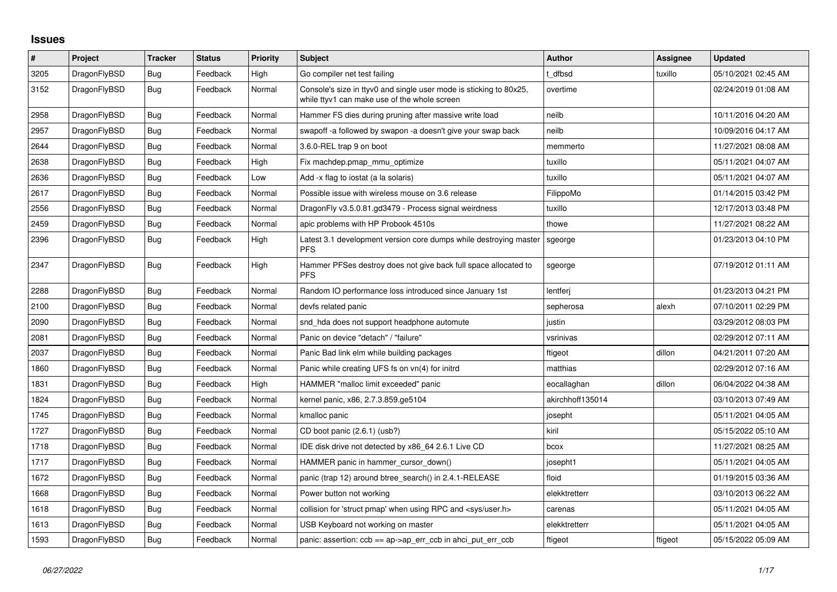## **Issues**

| $\sharp$ | Project      | <b>Tracker</b> | <b>Status</b> | <b>Priority</b> | <b>Subject</b>                                                                                                     | Author           | Assignee | <b>Updated</b>      |
|----------|--------------|----------------|---------------|-----------------|--------------------------------------------------------------------------------------------------------------------|------------------|----------|---------------------|
| 3205     | DragonFlyBSD | <b>Bug</b>     | Feedback      | High            | Go compiler net test failing                                                                                       | t dfbsd          | tuxillo  | 05/10/2021 02:45 AM |
| 3152     | DragonFlyBSD | Bug            | Feedback      | Normal          | Console's size in ttyv0 and single user mode is sticking to 80x25,<br>while ttyv1 can make use of the whole screen | overtime         |          | 02/24/2019 01:08 AM |
| 2958     | DragonFlyBSD | Bug            | Feedback      | Normal          | Hammer FS dies during pruning after massive write load                                                             | neilb            |          | 10/11/2016 04:20 AM |
| 2957     | DragonFlyBSD | Bug            | Feedback      | Normal          | swapoff-a followed by swapon-a doesn't give your swap back                                                         | neilb            |          | 10/09/2016 04:17 AM |
| 2644     | DragonFlyBSD | Bug            | Feedback      | Normal          | 3.6.0-REL trap 9 on boot                                                                                           | memmerto         |          | 11/27/2021 08:08 AM |
| 2638     | DragonFlyBSD | Bug            | Feedback      | High            | Fix machdep.pmap_mmu_optimize                                                                                      | tuxillo          |          | 05/11/2021 04:07 AM |
| 2636     | DragonFlyBSD | Bug            | Feedback      | Low             | Add -x flag to iostat (a la solaris)                                                                               | tuxillo          |          | 05/11/2021 04:07 AM |
| 2617     | DragonFlyBSD | <b>Bug</b>     | Feedback      | Normal          | Possible issue with wireless mouse on 3.6 release                                                                  | FilippoMo        |          | 01/14/2015 03:42 PM |
| 2556     | DragonFlyBSD | <b>Bug</b>     | Feedback      | Normal          | DragonFly v3.5.0.81.gd3479 - Process signal weirdness                                                              | tuxillo          |          | 12/17/2013 03:48 PM |
| 2459     | DragonFlyBSD | Bug            | Feedback      | Normal          | apic problems with HP Probook 4510s                                                                                | thowe            |          | 11/27/2021 08:22 AM |
| 2396     | DragonFlyBSD | <b>Bug</b>     | Feedback      | High            | Latest 3.1 development version core dumps while destroying master<br><b>PFS</b>                                    | sgeorge          |          | 01/23/2013 04:10 PM |
| 2347     | DragonFlyBSD | <b>Bug</b>     | Feedback      | High            | Hammer PFSes destroy does not give back full space allocated to<br><b>PFS</b>                                      | sgeorge          |          | 07/19/2012 01:11 AM |
| 2288     | DragonFlyBSD | Bug            | Feedback      | Normal          | Random IO performance loss introduced since January 1st                                                            | lentferi         |          | 01/23/2013 04:21 PM |
| 2100     | DragonFlyBSD | Bug            | Feedback      | Normal          | devfs related panic                                                                                                | sepherosa        | alexh    | 07/10/2011 02:29 PM |
| 2090     | DragonFlyBSD | <b>Bug</b>     | Feedback      | Normal          | snd hda does not support headphone automute                                                                        | justin           |          | 03/29/2012 08:03 PM |
| 2081     | DragonFlyBSD | Bug            | Feedback      | Normal          | Panic on device "detach" / "failure"                                                                               | vsrinivas        |          | 02/29/2012 07:11 AM |
| 2037     | DragonFlyBSD | <b>Bug</b>     | Feedback      | Normal          | Panic Bad link elm while building packages                                                                         | ftigeot          | dillon   | 04/21/2011 07:20 AM |
| 1860     | DragonFlyBSD | <b>Bug</b>     | Feedback      | Normal          | Panic while creating UFS fs on vn(4) for initrd                                                                    | matthias         |          | 02/29/2012 07:16 AM |
| 1831     | DragonFlyBSD | Bug            | Feedback      | High            | HAMMER "malloc limit exceeded" panic                                                                               | eocallaghan      | dillon   | 06/04/2022 04:38 AM |
| 1824     | DragonFlyBSD | <b>Bug</b>     | Feedback      | Normal          | kernel panic, x86, 2.7.3.859.ge5104                                                                                | akirchhoff135014 |          | 03/10/2013 07:49 AM |
| 1745     | DragonFlyBSD | Bug            | Feedback      | Normal          | kmalloc panic                                                                                                      | josepht          |          | 05/11/2021 04:05 AM |
| 1727     | DragonFlyBSD | <b>Bug</b>     | Feedback      | Normal          | CD boot panic (2.6.1) (usb?)                                                                                       | kiril            |          | 05/15/2022 05:10 AM |
| 1718     | DragonFlyBSD | <b>Bug</b>     | Feedback      | Normal          | IDE disk drive not detected by x86_64 2.6.1 Live CD                                                                | bcox             |          | 11/27/2021 08:25 AM |
| 1717     | DragonFlyBSD | Bug            | Feedback      | Normal          | HAMMER panic in hammer cursor down()                                                                               | josepht1         |          | 05/11/2021 04:05 AM |
| 1672     | DragonFlyBSD | <b>Bug</b>     | Feedback      | Normal          | panic (trap 12) around btree search() in 2.4.1-RELEASE                                                             | floid            |          | 01/19/2015 03:36 AM |
| 1668     | DragonFlyBSD | Bug            | Feedback      | Normal          | Power button not working                                                                                           | elekktretterr    |          | 03/10/2013 06:22 AM |
| 1618     | DragonFlyBSD | Bug            | Feedback      | Normal          | collision for 'struct pmap' when using RPC and <sys user.h=""></sys>                                               | carenas          |          | 05/11/2021 04:05 AM |
| 1613     | DragonFlyBSD | Bug            | Feedback      | Normal          | USB Keyboard not working on master                                                                                 | elekktretterr    |          | 05/11/2021 04:05 AM |
| 1593     | DragonFlyBSD | <b>Bug</b>     | Feedback      | Normal          | panic: assertion: $ccb == ap > ap\_err\_ccb$ in ahci_put_err_ccb                                                   | ftigeot          | ftigeot  | 05/15/2022 05:09 AM |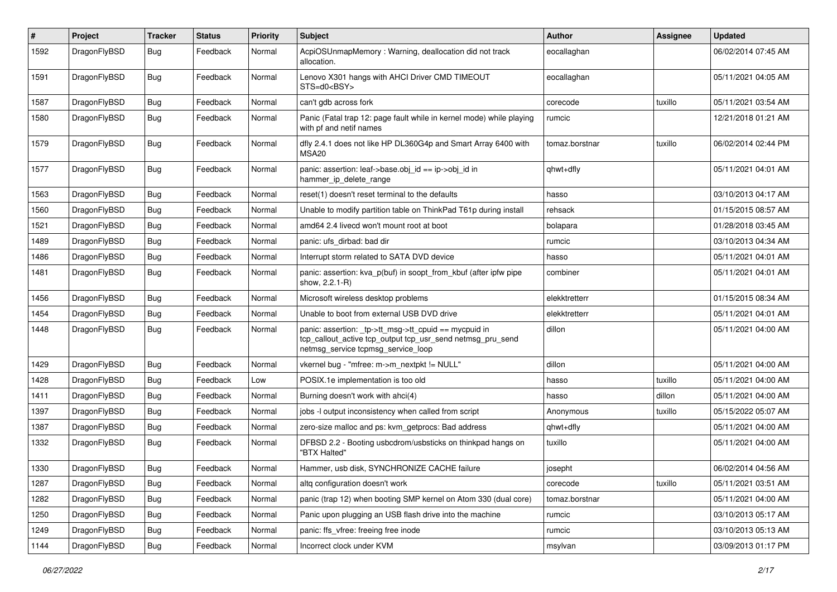| $\#$ | Project      | <b>Tracker</b> | <b>Status</b> | <b>Priority</b> | Subject                                                                                                                                                   | <b>Author</b>  | <b>Assignee</b> | <b>Updated</b>      |
|------|--------------|----------------|---------------|-----------------|-----------------------------------------------------------------------------------------------------------------------------------------------------------|----------------|-----------------|---------------------|
| 1592 | DragonFlyBSD | Bug            | Feedback      | Normal          | AcpiOSUnmapMemory: Warning, deallocation did not track<br>allocation.                                                                                     | eocallaghan    |                 | 06/02/2014 07:45 AM |
| 1591 | DragonFlyBSD | Bug            | Feedback      | Normal          | Lenovo X301 hangs with AHCI Driver CMD TIMEOUT<br>STS=d0 <bsy></bsy>                                                                                      | eocallaghan    |                 | 05/11/2021 04:05 AM |
| 1587 | DragonFlyBSD | Bug            | Feedback      | Normal          | can't gdb across fork                                                                                                                                     | corecode       | tuxillo         | 05/11/2021 03:54 AM |
| 1580 | DragonFlyBSD | <b>Bug</b>     | Feedback      | Normal          | Panic (Fatal trap 12: page fault while in kernel mode) while playing<br>with pf and netif names                                                           | rumcic         |                 | 12/21/2018 01:21 AM |
| 1579 | DragonFlyBSD | <b>Bug</b>     | Feedback      | Normal          | dfly 2.4.1 does not like HP DL360G4p and Smart Array 6400 with<br>MSA <sub>20</sub>                                                                       | tomaz.borstnar | tuxillo         | 06/02/2014 02:44 PM |
| 1577 | DragonFlyBSD | Bug            | Feedback      | Normal          | panic: assertion: leaf->base.obj_id == ip->obj_id in<br>hammer_ip_delete_range                                                                            | qhwt+dfly      |                 | 05/11/2021 04:01 AM |
| 1563 | DragonFlyBSD | Bug            | Feedback      | Normal          | reset(1) doesn't reset terminal to the defaults                                                                                                           | hasso          |                 | 03/10/2013 04:17 AM |
| 1560 | DragonFlyBSD | Bug            | Feedback      | Normal          | Unable to modify partition table on ThinkPad T61p during install                                                                                          | rehsack        |                 | 01/15/2015 08:57 AM |
| 1521 | DragonFlyBSD | <b>Bug</b>     | Feedback      | Normal          | amd64 2.4 livecd won't mount root at boot                                                                                                                 | bolapara       |                 | 01/28/2018 03:45 AM |
| 1489 | DragonFlyBSD | <b>Bug</b>     | Feedback      | Normal          | panic: ufs dirbad: bad dir                                                                                                                                | rumcic         |                 | 03/10/2013 04:34 AM |
| 1486 | DragonFlyBSD | <b>Bug</b>     | Feedback      | Normal          | Interrupt storm related to SATA DVD device                                                                                                                | hasso          |                 | 05/11/2021 04:01 AM |
| 1481 | DragonFlyBSD | Bug            | Feedback      | Normal          | panic: assertion: kva_p(buf) in soopt_from_kbuf (after ipfw pipe<br>show, 2.2.1-R)                                                                        | combiner       |                 | 05/11/2021 04:01 AM |
| 1456 | DragonFlyBSD | Bug            | Feedback      | Normal          | Microsoft wireless desktop problems                                                                                                                       | elekktretterr  |                 | 01/15/2015 08:34 AM |
| 1454 | DragonFlyBSD | <b>Bug</b>     | Feedback      | Normal          | Unable to boot from external USB DVD drive                                                                                                                | elekktretterr  |                 | 05/11/2021 04:01 AM |
| 1448 | DragonFlyBSD | Bug            | Feedback      | Normal          | panic: assertion: _tp->tt_msg->tt_cpuid == mycpuid in<br>tcp_callout_active tcp_output tcp_usr_send netmsg_pru_send<br>netmsg_service tcpmsg_service_loop | dillon         |                 | 05/11/2021 04:00 AM |
| 1429 | DragonFlyBSD | Bug            | Feedback      | Normal          | vkernel bug - "mfree: m->m_nextpkt != NULL"                                                                                                               | dillon         |                 | 05/11/2021 04:00 AM |
| 1428 | DragonFlyBSD | Bug            | Feedback      | Low             | POSIX.1e implementation is too old                                                                                                                        | hasso          | tuxillo         | 05/11/2021 04:00 AM |
| 1411 | DragonFlyBSD | Bug            | Feedback      | Normal          | Burning doesn't work with ahci(4)                                                                                                                         | hasso          | dillon          | 05/11/2021 04:00 AM |
| 1397 | DragonFlyBSD | <b>Bug</b>     | Feedback      | Normal          | jobs -I output inconsistency when called from script                                                                                                      | Anonymous      | tuxillo         | 05/15/2022 05:07 AM |
| 1387 | DragonFlyBSD | <b>Bug</b>     | Feedback      | Normal          | zero-size malloc and ps: kvm_getprocs: Bad address                                                                                                        | qhwt+dfly      |                 | 05/11/2021 04:00 AM |
| 1332 | DragonFlyBSD | Bug            | Feedback      | Normal          | DFBSD 2.2 - Booting usbcdrom/usbsticks on thinkpad hangs on<br>"BTX Halted"                                                                               | tuxillo        |                 | 05/11/2021 04:00 AM |
| 1330 | DragonFlyBSD | Bug            | Feedback      | Normal          | Hammer, usb disk, SYNCHRONIZE CACHE failure                                                                                                               | josepht        |                 | 06/02/2014 04:56 AM |
| 1287 | DragonFlyBSD | <b>Bug</b>     | Feedback      | Normal          | altq configuration doesn't work                                                                                                                           | corecode       | tuxillo         | 05/11/2021 03:51 AM |
| 1282 | DragonFlyBSD | Bug            | Feedback      | Normal          | panic (trap 12) when booting SMP kernel on Atom 330 (dual core)                                                                                           | tomaz.borstnar |                 | 05/11/2021 04:00 AM |
| 1250 | DragonFlyBSD | <b>Bug</b>     | Feedback      | Normal          | Panic upon plugging an USB flash drive into the machine                                                                                                   | rumcic         |                 | 03/10/2013 05:17 AM |
| 1249 | DragonFlyBSD | <b>Bug</b>     | Feedback      | Normal          | panic: ffs vfree: freeing free inode                                                                                                                      | rumcic         |                 | 03/10/2013 05:13 AM |
| 1144 | DragonFlyBSD | <b>Bug</b>     | Feedback      | Normal          | Incorrect clock under KVM                                                                                                                                 | msylvan        |                 | 03/09/2013 01:17 PM |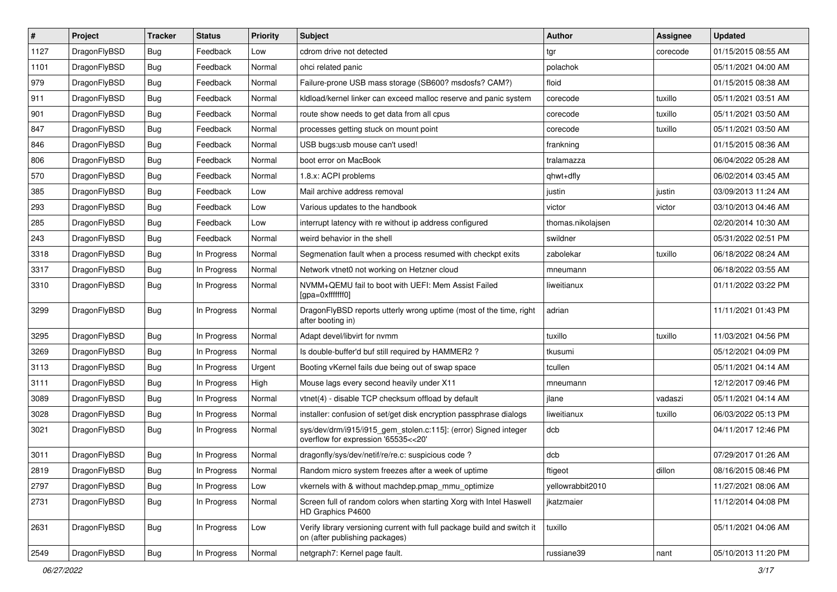| $\sharp$ | Project      | <b>Tracker</b> | <b>Status</b> | Priority | Subject                                                                                                   | Author            | <b>Assignee</b> | <b>Updated</b>      |
|----------|--------------|----------------|---------------|----------|-----------------------------------------------------------------------------------------------------------|-------------------|-----------------|---------------------|
| 1127     | DragonFlyBSD | Bug            | Feedback      | Low      | cdrom drive not detected                                                                                  | tgr               | corecode        | 01/15/2015 08:55 AM |
| 1101     | DragonFlyBSD | Bug            | Feedback      | Normal   | ohci related panic                                                                                        | polachok          |                 | 05/11/2021 04:00 AM |
| 979      | DragonFlyBSD | Bug            | Feedback      | Normal   | Failure-prone USB mass storage (SB600? msdosfs? CAM?)                                                     | floid             |                 | 01/15/2015 08:38 AM |
| 911      | DragonFlyBSD | Bug            | Feedback      | Normal   | kldload/kernel linker can exceed malloc reserve and panic system                                          | corecode          | tuxillo         | 05/11/2021 03:51 AM |
| 901      | DragonFlyBSD | Bug            | Feedback      | Normal   | route show needs to get data from all cpus                                                                | corecode          | tuxillo         | 05/11/2021 03:50 AM |
| 847      | DragonFlyBSD | Bug            | Feedback      | Normal   | processes getting stuck on mount point                                                                    | corecode          | tuxillo         | 05/11/2021 03:50 AM |
| 846      | DragonFlyBSD | Bug            | Feedback      | Normal   | USB bugs:usb mouse can't used!                                                                            | frankning         |                 | 01/15/2015 08:36 AM |
| 806      | DragonFlyBSD | Bug            | Feedback      | Normal   | boot error on MacBook                                                                                     | tralamazza        |                 | 06/04/2022 05:28 AM |
| 570      | DragonFlyBSD | Bug            | Feedback      | Normal   | 1.8.x: ACPI problems                                                                                      | qhwt+dfly         |                 | 06/02/2014 03:45 AM |
| 385      | DragonFlyBSD | Bug            | Feedback      | Low      | Mail archive address removal                                                                              | justin            | justin          | 03/09/2013 11:24 AM |
| 293      | DragonFlyBSD | Bug            | Feedback      | Low      | Various updates to the handbook                                                                           | victor            | victor          | 03/10/2013 04:46 AM |
| 285      | DragonFlyBSD | Bug            | Feedback      | Low      | interrupt latency with re without ip address configured                                                   | thomas.nikolajsen |                 | 02/20/2014 10:30 AM |
| 243      | DragonFlyBSD | Bug            | Feedback      | Normal   | weird behavior in the shell                                                                               | swildner          |                 | 05/31/2022 02:51 PM |
| 3318     | DragonFlyBSD | Bug            | In Progress   | Normal   | Segmenation fault when a process resumed with checkpt exits                                               | zabolekar         | tuxillo         | 06/18/2022 08:24 AM |
| 3317     | DragonFlyBSD | Bug            | In Progress   | Normal   | Network vtnet0 not working on Hetzner cloud                                                               | mneumann          |                 | 06/18/2022 03:55 AM |
| 3310     | DragonFlyBSD | Bug            | In Progress   | Normal   | NVMM+QEMU fail to boot with UEFI: Mem Assist Failed<br>[gpa=0xfffffff0]                                   | liweitianux       |                 | 01/11/2022 03:22 PM |
| 3299     | DragonFlyBSD | Bug            | In Progress   | Normal   | DragonFlyBSD reports utterly wrong uptime (most of the time, right<br>after booting in)                   | adrian            |                 | 11/11/2021 01:43 PM |
| 3295     | DragonFlyBSD | Bug            | In Progress   | Normal   | Adapt devel/libvirt for nvmm                                                                              | tuxillo           | tuxillo         | 11/03/2021 04:56 PM |
| 3269     | DragonFlyBSD | Bug            | In Progress   | Normal   | Is double-buffer'd buf still required by HAMMER2?                                                         | tkusumi           |                 | 05/12/2021 04:09 PM |
| 3113     | DragonFlyBSD | Bug            | In Progress   | Urgent   | Booting vKernel fails due being out of swap space                                                         | tcullen           |                 | 05/11/2021 04:14 AM |
| 3111     | DragonFlyBSD | Bug            | In Progress   | High     | Mouse lags every second heavily under X11                                                                 | mneumann          |                 | 12/12/2017 09:46 PM |
| 3089     | DragonFlyBSD | Bug            | In Progress   | Normal   | vtnet(4) - disable TCP checksum offload by default                                                        | jlane             | vadaszi         | 05/11/2021 04:14 AM |
| 3028     | DragonFlyBSD | <b>Bug</b>     | In Progress   | Normal   | installer: confusion of set/get disk encryption passphrase dialogs                                        | liweitianux       | tuxillo         | 06/03/2022 05:13 PM |
| 3021     | DragonFlyBSD | Bug            | In Progress   | Normal   | sys/dev/drm/i915/i915_gem_stolen.c:115]: (error) Signed integer<br>overflow for expression '65535<<20'    | dcb               |                 | 04/11/2017 12:46 PM |
| 3011     | DragonFlyBSD | Bug            | In Progress   | Normal   | dragonfly/sys/dev/netif/re/re.c: suspicious code ?                                                        | dcb               |                 | 07/29/2017 01:26 AM |
| 2819     | DragonFlyBSD | Bug            | In Progress   | Normal   | Random micro system freezes after a week of uptime                                                        | ftigeot           | dillon          | 08/16/2015 08:46 PM |
| 2797     | DragonFlyBSD | <b>Bug</b>     | In Progress   | Low      | vkernels with & without machdep.pmap_mmu_optimize                                                         | yellowrabbit2010  |                 | 11/27/2021 08:06 AM |
| 2731     | DragonFlyBSD | <b>Bug</b>     | In Progress   | Normal   | Screen full of random colors when starting Xorg with Intel Haswell<br>HD Graphics P4600                   | jkatzmaier        |                 | 11/12/2014 04:08 PM |
| 2631     | DragonFlyBSD | <b>Bug</b>     | In Progress   | Low      | Verify library versioning current with full package build and switch it<br>on (after publishing packages) | tuxillo           |                 | 05/11/2021 04:06 AM |
| 2549     | DragonFlyBSD | <b>Bug</b>     | In Progress   | Normal   | netgraph7: Kernel page fault.                                                                             | russiane39        | nant            | 05/10/2013 11:20 PM |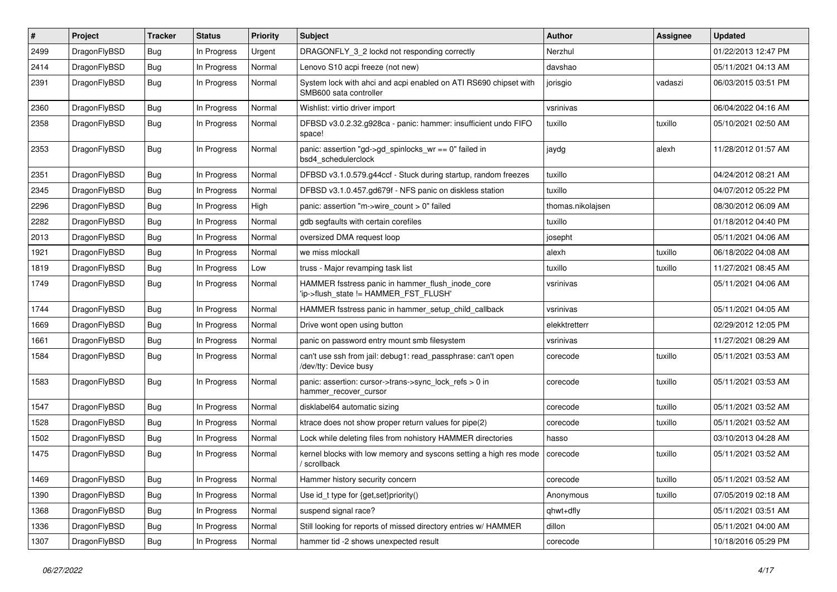| $\pmb{\#}$ | Project      | <b>Tracker</b> | <b>Status</b> | <b>Priority</b> | Subject                                                                                    | <b>Author</b>     | Assignee | <b>Updated</b>      |
|------------|--------------|----------------|---------------|-----------------|--------------------------------------------------------------------------------------------|-------------------|----------|---------------------|
| 2499       | DragonFlyBSD | Bug            | In Progress   | Urgent          | DRAGONFLY_3_2 lockd not responding correctly                                               | Nerzhul           |          | 01/22/2013 12:47 PM |
| 2414       | DragonFlyBSD | Bug            | In Progress   | Normal          | Lenovo S10 acpi freeze (not new)                                                           | davshao           |          | 05/11/2021 04:13 AM |
| 2391       | DragonFlyBSD | Bug            | In Progress   | Normal          | System lock with ahci and acpi enabled on ATI RS690 chipset with<br>SMB600 sata controller | jorisgio          | vadaszi  | 06/03/2015 03:51 PM |
| 2360       | DragonFlyBSD | Bug            | In Progress   | Normal          | Wishlist: virtio driver import                                                             | vsrinivas         |          | 06/04/2022 04:16 AM |
| 2358       | DragonFlyBSD | Bug            | In Progress   | Normal          | DFBSD v3.0.2.32.g928ca - panic: hammer: insufficient undo FIFO<br>space!                   | tuxillo           | tuxillo  | 05/10/2021 02:50 AM |
| 2353       | DragonFlyBSD | Bug            | In Progress   | Normal          | panic: assertion "gd->gd_spinlocks_wr == 0" failed in<br>bsd4_schedulerclock               | jaydg             | alexh    | 11/28/2012 01:57 AM |
| 2351       | DragonFlyBSD | Bug            | In Progress   | Normal          | DFBSD v3.1.0.579.g44ccf - Stuck during startup, random freezes                             | tuxillo           |          | 04/24/2012 08:21 AM |
| 2345       | DragonFlyBSD | Bug            | In Progress   | Normal          | DFBSD v3.1.0.457.gd679f - NFS panic on diskless station                                    | tuxillo           |          | 04/07/2012 05:22 PM |
| 2296       | DragonFlyBSD | Bug            | In Progress   | High            | panic: assertion "m->wire count > 0" failed                                                | thomas.nikolajsen |          | 08/30/2012 06:09 AM |
| 2282       | DragonFlyBSD | Bug            | In Progress   | Normal          | gdb segfaults with certain corefiles                                                       | tuxillo           |          | 01/18/2012 04:40 PM |
| 2013       | DragonFlyBSD | Bug            | In Progress   | Normal          | oversized DMA request loop                                                                 | josepht           |          | 05/11/2021 04:06 AM |
| 1921       | DragonFlyBSD | Bug            | In Progress   | Normal          | we miss mlockall                                                                           | alexh             | tuxillo  | 06/18/2022 04:08 AM |
| 1819       | DragonFlyBSD | Bug            | In Progress   | Low             | truss - Major revamping task list                                                          | tuxillo           | tuxillo  | 11/27/2021 08:45 AM |
| 1749       | DragonFlyBSD | Bug            | In Progress   | Normal          | HAMMER fsstress panic in hammer_flush_inode_core<br>'ip->flush_state != HAMMER_FST_FLUSH'  | vsrinivas         |          | 05/11/2021 04:06 AM |
| 1744       | DragonFlyBSD | Bug            | In Progress   | Normal          | HAMMER fsstress panic in hammer setup child callback                                       | vsrinivas         |          | 05/11/2021 04:05 AM |
| 1669       | DragonFlyBSD | Bug            | In Progress   | Normal          | Drive wont open using button                                                               | elekktretterr     |          | 02/29/2012 12:05 PM |
| 1661       | DragonFlyBSD | Bug            | In Progress   | Normal          | panic on password entry mount smb filesystem                                               | vsrinivas         |          | 11/27/2021 08:29 AM |
| 1584       | DragonFlyBSD | Bug            | In Progress   | Normal          | can't use ssh from jail: debug1: read_passphrase: can't open<br>/dev/tty: Device busy      | corecode          | tuxillo  | 05/11/2021 03:53 AM |
| 1583       | DragonFlyBSD | <b>Bug</b>     | In Progress   | Normal          | panic: assertion: cursor->trans->sync_lock_refs > 0 in<br>hammer_recover_cursor            | corecode          | tuxillo  | 05/11/2021 03:53 AM |
| 1547       | DragonFlyBSD | Bug            | In Progress   | Normal          | disklabel64 automatic sizing                                                               | corecode          | tuxillo  | 05/11/2021 03:52 AM |
| 1528       | DragonFlyBSD | Bug            | In Progress   | Normal          | ktrace does not show proper return values for pipe(2)                                      | corecode          | tuxillo  | 05/11/2021 03:52 AM |
| 1502       | DragonFlyBSD | Bug            | In Progress   | Normal          | Lock while deleting files from nohistory HAMMER directories                                | hasso             |          | 03/10/2013 04:28 AM |
| 1475       | DragonFlyBSD | Bug            | In Progress   | Normal          | kernel blocks with low memory and syscons setting a high res mode<br>/ scrollback          | corecode          | tuxillo  | 05/11/2021 03:52 AM |
| 1469       | DragonFlyBSD | <b>Bug</b>     | In Progress   | Normal          | Hammer history security concern                                                            | corecode          | tuxillo  | 05/11/2021 03:52 AM |
| 1390       | DragonFlyBSD | <b>Bug</b>     | In Progress   | Normal          | Use id_t type for {get,set}priority()                                                      | Anonymous         | tuxillo  | 07/05/2019 02:18 AM |
| 1368       | DragonFlyBSD | <b>Bug</b>     | In Progress   | Normal          | suspend signal race?                                                                       | qhwt+dfly         |          | 05/11/2021 03:51 AM |
| 1336       | DragonFlyBSD | <b>Bug</b>     | In Progress   | Normal          | Still looking for reports of missed directory entries w/ HAMMER                            | dillon            |          | 05/11/2021 04:00 AM |
| 1307       | DragonFlyBSD | Bug            | In Progress   | Normal          | hammer tid -2 shows unexpected result                                                      | corecode          |          | 10/18/2016 05:29 PM |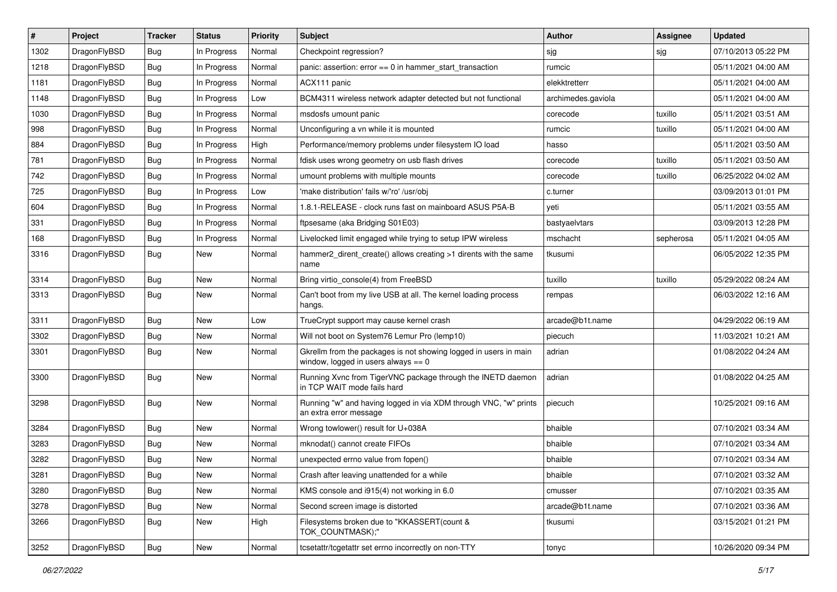| $\sharp$ | Project      | <b>Tracker</b> | <b>Status</b> | <b>Priority</b> | Subject                                                                                                   | Author             | Assignee  | <b>Updated</b>      |
|----------|--------------|----------------|---------------|-----------------|-----------------------------------------------------------------------------------------------------------|--------------------|-----------|---------------------|
| 1302     | DragonFlyBSD | <b>Bug</b>     | In Progress   | Normal          | Checkpoint regression?                                                                                    | sjg                | sjg       | 07/10/2013 05:22 PM |
| 1218     | DragonFlyBSD | Bug            | In Progress   | Normal          | panic: assertion: $error == 0$ in hammer start transaction                                                | rumcic             |           | 05/11/2021 04:00 AM |
| 1181     | DragonFlyBSD | Bug            | In Progress   | Normal          | ACX111 panic                                                                                              | elekktretterr      |           | 05/11/2021 04:00 AM |
| 1148     | DragonFlyBSD | Bug            | In Progress   | Low             | BCM4311 wireless network adapter detected but not functional                                              | archimedes.gaviola |           | 05/11/2021 04:00 AM |
| 1030     | DragonFlyBSD | <b>Bug</b>     | In Progress   | Normal          | msdosfs umount panic                                                                                      | corecode           | tuxillo   | 05/11/2021 03:51 AM |
| 998      | DragonFlyBSD | <b>Bug</b>     | In Progress   | Normal          | Unconfiguring a vn while it is mounted                                                                    | rumcic             | tuxillo   | 05/11/2021 04:00 AM |
| 884      | DragonFlyBSD | <b>Bug</b>     | In Progress   | High            | Performance/memory problems under filesystem IO load                                                      | hasso              |           | 05/11/2021 03:50 AM |
| 781      | DragonFlyBSD | Bug            | In Progress   | Normal          | fdisk uses wrong geometry on usb flash drives                                                             | corecode           | tuxillo   | 05/11/2021 03:50 AM |
| 742      | DragonFlyBSD | Bug            | In Progress   | Normal          | umount problems with multiple mounts                                                                      | corecode           | tuxillo   | 06/25/2022 04:02 AM |
| 725      | DragonFlyBSD | Bug            | In Progress   | Low             | 'make distribution' fails w/'ro' /usr/obj                                                                 | c.turner           |           | 03/09/2013 01:01 PM |
| 604      | DragonFlyBSD | <b>Bug</b>     | In Progress   | Normal          | 1.8.1-RELEASE - clock runs fast on mainboard ASUS P5A-B                                                   | yeti               |           | 05/11/2021 03:55 AM |
| 331      | DragonFlyBSD | <b>Bug</b>     | In Progress   | Normal          | ftpsesame (aka Bridging S01E03)                                                                           | bastyaelvtars      |           | 03/09/2013 12:28 PM |
| 168      | DragonFlyBSD | Bug            | In Progress   | Normal          | Livelocked limit engaged while trying to setup IPW wireless                                               | mschacht           | sepherosa | 05/11/2021 04:05 AM |
| 3316     | DragonFlyBSD | <b>Bug</b>     | New           | Normal          | hammer2_dirent_create() allows creating >1 dirents with the same<br>name                                  | tkusumi            |           | 06/05/2022 12:35 PM |
| 3314     | DragonFlyBSD | Bug            | New           | Normal          | Bring virtio console(4) from FreeBSD                                                                      | tuxillo            | tuxillo   | 05/29/2022 08:24 AM |
| 3313     | DragonFlyBSD | Bug            | New           | Normal          | Can't boot from my live USB at all. The kernel loading process<br>hangs.                                  | rempas             |           | 06/03/2022 12:16 AM |
| 3311     | DragonFlyBSD | Bug            | New           | Low             | TrueCrypt support may cause kernel crash                                                                  | arcade@b1t.name    |           | 04/29/2022 06:19 AM |
| 3302     | DragonFlyBSD | Bug            | New           | Normal          | Will not boot on System76 Lemur Pro (lemp10)                                                              | piecuch            |           | 11/03/2021 10:21 AM |
| 3301     | DragonFlyBSD | Bug            | New           | Normal          | Gkrellm from the packages is not showing logged in users in main<br>window, logged in users always $== 0$ | adrian             |           | 01/08/2022 04:24 AM |
| 3300     | DragonFlyBSD | Bug            | New           | Normal          | Running Xvnc from TigerVNC package through the INETD daemon<br>in TCP WAIT mode fails hard                | adrian             |           | 01/08/2022 04:25 AM |
| 3298     | DragonFlyBSD | Bug            | New           | Normal          | Running "w" and having logged in via XDM through VNC, "w" prints<br>an extra error message                | piecuch            |           | 10/25/2021 09:16 AM |
| 3284     | DragonFlyBSD | Bug            | New           | Normal          | Wrong towlower() result for U+038A                                                                        | bhaible            |           | 07/10/2021 03:34 AM |
| 3283     | DragonFlyBSD | Bug            | New           | Normal          | mknodat() cannot create FIFOs                                                                             | bhaible            |           | 07/10/2021 03:34 AM |
| 3282     | DragonFlyBSD | Bug            | New           | Normal          | unexpected errno value from fopen()                                                                       | bhaible            |           | 07/10/2021 03:34 AM |
| 3281     | DragonFlyBSD | <b>Bug</b>     | I New         | Normal          | Crash after leaving unattended for a while                                                                | bhaible            |           | 07/10/2021 03:32 AM |
| 3280     | DragonFlyBSD | <b>Bug</b>     | New           | Normal          | KMS console and i915(4) not working in 6.0                                                                | cmusser            |           | 07/10/2021 03:35 AM |
| 3278     | DragonFlyBSD | <b>Bug</b>     | New           | Normal          | Second screen image is distorted                                                                          | arcade@b1t.name    |           | 07/10/2021 03:36 AM |
| 3266     | DragonFlyBSD | <b>Bug</b>     | New           | High            | Filesystems broken due to "KKASSERT(count &<br>TOK_COUNTMASK);"                                           | tkusumi            |           | 03/15/2021 01:21 PM |
| 3252     | DragonFlyBSD | <b>Bug</b>     | New           | Normal          | tcsetattr/tcgetattr set errno incorrectly on non-TTY                                                      | tonyc              |           | 10/26/2020 09:34 PM |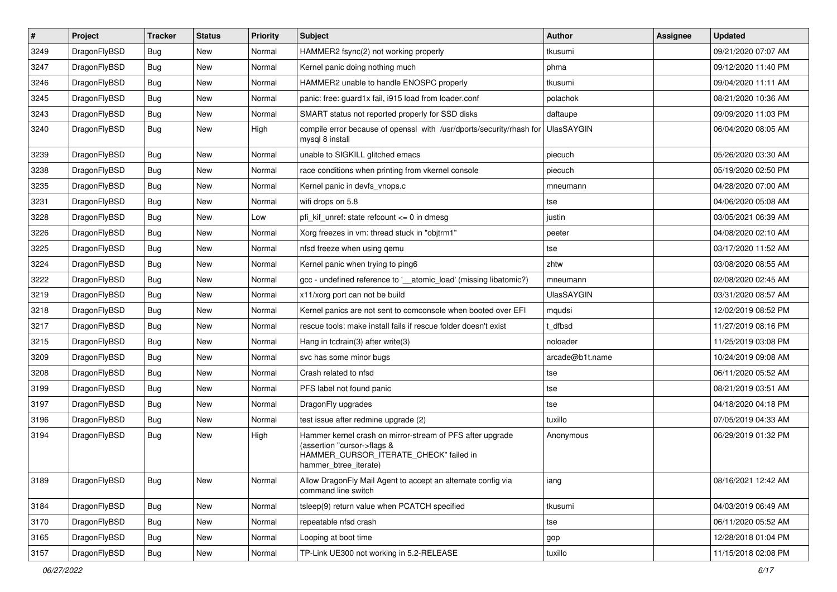| $\vert$ # | Project      | <b>Tracker</b> | <b>Status</b> | <b>Priority</b> | Subject                                                                                                                                                     | Author            | <b>Assignee</b> | <b>Updated</b>      |
|-----------|--------------|----------------|---------------|-----------------|-------------------------------------------------------------------------------------------------------------------------------------------------------------|-------------------|-----------------|---------------------|
| 3249      | DragonFlyBSD | Bug            | New           | Normal          | HAMMER2 fsync(2) not working properly                                                                                                                       | tkusumi           |                 | 09/21/2020 07:07 AM |
| 3247      | DragonFlyBSD | Bug            | <b>New</b>    | Normal          | Kernel panic doing nothing much                                                                                                                             | phma              |                 | 09/12/2020 11:40 PM |
| 3246      | DragonFlyBSD | <b>Bug</b>     | New           | Normal          | HAMMER2 unable to handle ENOSPC properly                                                                                                                    | tkusumi           |                 | 09/04/2020 11:11 AM |
| 3245      | DragonFlyBSD | Bug            | New           | Normal          | panic: free: quard1x fail, i915 load from loader.conf                                                                                                       | polachok          |                 | 08/21/2020 10:36 AM |
| 3243      | DragonFlyBSD | Bug            | New           | Normal          | SMART status not reported properly for SSD disks                                                                                                            | daftaupe          |                 | 09/09/2020 11:03 PM |
| 3240      | DragonFlyBSD | <b>Bug</b>     | New           | High            | compile error because of openssl with /usr/dports/security/rhash for<br>mysql 8 install                                                                     | <b>UlasSAYGIN</b> |                 | 06/04/2020 08:05 AM |
| 3239      | DragonFlyBSD | Bug            | New           | Normal          | unable to SIGKILL glitched emacs                                                                                                                            | piecuch           |                 | 05/26/2020 03:30 AM |
| 3238      | DragonFlyBSD | Bug            | New           | Normal          | race conditions when printing from vkernel console                                                                                                          | piecuch           |                 | 05/19/2020 02:50 PM |
| 3235      | DragonFlyBSD | Bug            | New           | Normal          | Kernel panic in devfs vnops.c                                                                                                                               | mneumann          |                 | 04/28/2020 07:00 AM |
| 3231      | DragonFlyBSD | <b>Bug</b>     | New           | Normal          | wifi drops on 5.8                                                                                                                                           | tse               |                 | 04/06/2020 05:08 AM |
| 3228      | DragonFlyBSD | Bug            | New           | Low             | pfi kif unref: state refcount $\leq$ 0 in dmesg                                                                                                             | justin            |                 | 03/05/2021 06:39 AM |
| 3226      | DragonFlyBSD | Bug            | New           | Normal          | Xorg freezes in vm: thread stuck in "objtrm1"                                                                                                               | peeter            |                 | 04/08/2020 02:10 AM |
| 3225      | DragonFlyBSD | <b>Bug</b>     | New           | Normal          | nfsd freeze when using gemu                                                                                                                                 | tse               |                 | 03/17/2020 11:52 AM |
| 3224      | DragonFlyBSD | Bug            | <b>New</b>    | Normal          | Kernel panic when trying to ping6                                                                                                                           | zhtw              |                 | 03/08/2020 08:55 AM |
| 3222      | DragonFlyBSD | <b>Bug</b>     | New           | Normal          | gcc - undefined reference to '__atomic_load' (missing libatomic?)                                                                                           | mneumann          |                 | 02/08/2020 02:45 AM |
| 3219      | DragonFlyBSD | <b>Bug</b>     | New           | Normal          | x11/xorg port can not be build                                                                                                                              | <b>UlasSAYGIN</b> |                 | 03/31/2020 08:57 AM |
| 3218      | DragonFlyBSD | Bug            | <b>New</b>    | Normal          | Kernel panics are not sent to comconsole when booted over EFI                                                                                               | mqudsi            |                 | 12/02/2019 08:52 PM |
| 3217      | DragonFlyBSD | <b>Bug</b>     | New           | Normal          | rescue tools: make install fails if rescue folder doesn't exist                                                                                             | t dfbsd           |                 | 11/27/2019 08:16 PM |
| 3215      | DragonFlyBSD | Bug            | <b>New</b>    | Normal          | Hang in tcdrain(3) after write(3)                                                                                                                           | noloader          |                 | 11/25/2019 03:08 PM |
| 3209      | DragonFlyBSD | Bug            | New           | Normal          | svc has some minor bugs                                                                                                                                     | arcade@b1t.name   |                 | 10/24/2019 09:08 AM |
| 3208      | DragonFlyBSD | Bug            | New           | Normal          | Crash related to nfsd                                                                                                                                       | tse               |                 | 06/11/2020 05:52 AM |
| 3199      | DragonFlyBSD | <b>Bug</b>     | New           | Normal          | PFS label not found panic                                                                                                                                   | tse               |                 | 08/21/2019 03:51 AM |
| 3197      | DragonFlyBSD | <b>Bug</b>     | New           | Normal          | DragonFly upgrades                                                                                                                                          | tse               |                 | 04/18/2020 04:18 PM |
| 3196      | DragonFlyBSD | Bug            | New           | Normal          | test issue after redmine upgrade (2)                                                                                                                        | tuxillo           |                 | 07/05/2019 04:33 AM |
| 3194      | DragonFlyBSD | Bug            | New           | High            | Hammer kernel crash on mirror-stream of PFS after upgrade<br>(assertion "cursor->flags &<br>HAMMER_CURSOR_ITERATE_CHECK" failed in<br>hammer_btree_iterate) | Anonymous         |                 | 06/29/2019 01:32 PM |
| 3189      | DragonFlyBSD | <b>Bug</b>     | New           | Normal          | Allow DragonFly Mail Agent to accept an alternate config via<br>command line switch                                                                         | iang              |                 | 08/16/2021 12:42 AM |
| 3184      | DragonFlyBSD | <b>Bug</b>     | New           | Normal          | tsleep(9) return value when PCATCH specified                                                                                                                | tkusumi           |                 | 04/03/2019 06:49 AM |
| 3170      | DragonFlyBSD | <b>Bug</b>     | New           | Normal          | repeatable nfsd crash                                                                                                                                       | tse               |                 | 06/11/2020 05:52 AM |
| 3165      | DragonFlyBSD | Bug            | New           | Normal          | Looping at boot time                                                                                                                                        | gop               |                 | 12/28/2018 01:04 PM |
| 3157      | DragonFlyBSD | Bug            | New           | Normal          | TP-Link UE300 not working in 5.2-RELEASE                                                                                                                    | tuxillo           |                 | 11/15/2018 02:08 PM |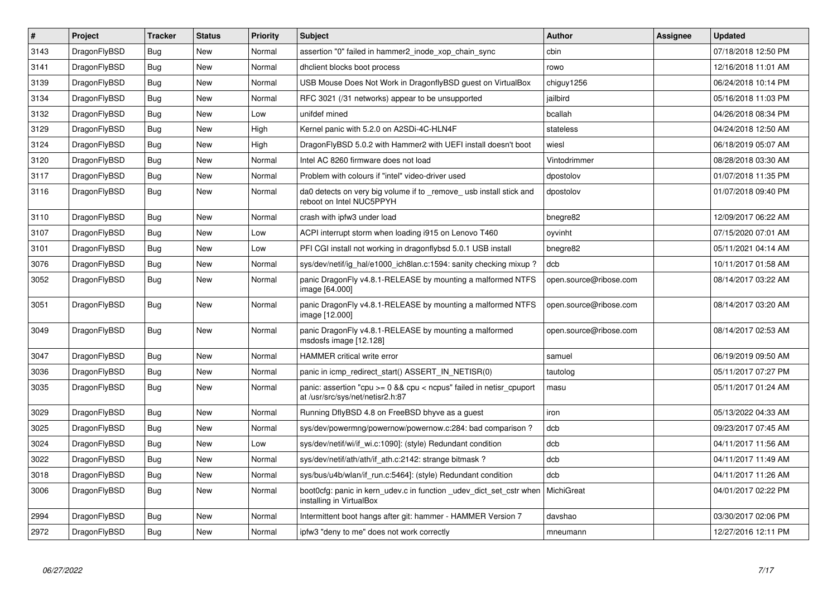| $\vert$ # | <b>Project</b> | <b>Tracker</b> | <b>Status</b> | <b>Priority</b> | <b>Subject</b>                                                                                            | <b>Author</b>          | Assignee | <b>Updated</b>      |
|-----------|----------------|----------------|---------------|-----------------|-----------------------------------------------------------------------------------------------------------|------------------------|----------|---------------------|
| 3143      | DragonFlyBSD   | Bug            | <b>New</b>    | Normal          | assertion "0" failed in hammer2 inode xop chain sync                                                      | cbin                   |          | 07/18/2018 12:50 PM |
| 3141      | DragonFlyBSD   | Bug            | <b>New</b>    | Normal          | dhclient blocks boot process                                                                              | rowo                   |          | 12/16/2018 11:01 AM |
| 3139      | DragonFlyBSD   | <b>Bug</b>     | <b>New</b>    | Normal          | USB Mouse Does Not Work in DragonflyBSD guest on VirtualBox                                               | chiguy1256             |          | 06/24/2018 10:14 PM |
| 3134      | DragonFlyBSD   | Bug            | <b>New</b>    | Normal          | RFC 3021 (/31 networks) appear to be unsupported                                                          | jailbird               |          | 05/16/2018 11:03 PM |
| 3132      | DragonFlyBSD   | <b>Bug</b>     | <b>New</b>    | Low             | unifdef mined                                                                                             | bcallah                |          | 04/26/2018 08:34 PM |
| 3129      | DragonFlyBSD   | Bug            | <b>New</b>    | High            | Kernel panic with 5.2.0 on A2SDi-4C-HLN4F                                                                 | stateless              |          | 04/24/2018 12:50 AM |
| 3124      | DragonFlyBSD   | <b>Bug</b>     | New           | High            | DragonFlyBSD 5.0.2 with Hammer2 with UEFI install doesn't boot                                            | wiesl                  |          | 06/18/2019 05:07 AM |
| 3120      | DragonFlyBSD   | Bug            | <b>New</b>    | Normal          | Intel AC 8260 firmware does not load                                                                      | Vintodrimmer           |          | 08/28/2018 03:30 AM |
| 3117      | DragonFlyBSD   | <b>Bug</b>     | <b>New</b>    | Normal          | Problem with colours if "intel" video-driver used                                                         | dpostolov              |          | 01/07/2018 11:35 PM |
| 3116      | DragonFlyBSD   | Bug            | New           | Normal          | da0 detects on very big volume if to remove usb install stick and<br>reboot on Intel NUC5PPYH             | dpostolov              |          | 01/07/2018 09:40 PM |
| 3110      | DragonFlyBSD   | Bug            | <b>New</b>    | Normal          | crash with ipfw3 under load                                                                               | bnegre82               |          | 12/09/2017 06:22 AM |
| 3107      | DragonFlyBSD   | <b>Bug</b>     | New           | Low             | ACPI interrupt storm when loading i915 on Lenovo T460                                                     | oyvinht                |          | 07/15/2020 07:01 AM |
| 3101      | DragonFlyBSD   | Bug            | New           | Low             | PFI CGI install not working in dragonflybsd 5.0.1 USB install                                             | bnegre82               |          | 05/11/2021 04:14 AM |
| 3076      | DragonFlyBSD   | <b>Bug</b>     | New           | Normal          | sys/dev/netif/ig hal/e1000 ich8lan.c:1594: sanity checking mixup?                                         | dcb                    |          | 10/11/2017 01:58 AM |
| 3052      | DragonFlyBSD   | <b>Bug</b>     | New           | Normal          | panic DragonFly v4.8.1-RELEASE by mounting a malformed NTFS<br>image [64.000]                             | open.source@ribose.com |          | 08/14/2017 03:22 AM |
| 3051      | DragonFlyBSD   | Bug            | <b>New</b>    | Normal          | panic DragonFly v4.8.1-RELEASE by mounting a malformed NTFS<br>image [12.000]                             | open.source@ribose.com |          | 08/14/2017 03:20 AM |
| 3049      | DragonFlyBSD   | Bug            | New           | Normal          | panic DragonFly v4.8.1-RELEASE by mounting a malformed<br>msdosfs image [12.128]                          | open.source@ribose.com |          | 08/14/2017 02:53 AM |
| 3047      | DragonFlyBSD   | Bug            | <b>New</b>    | Normal          | <b>HAMMER</b> critical write error                                                                        | samuel                 |          | 06/19/2019 09:50 AM |
| 3036      | DragonFlyBSD   | <b>Bug</b>     | <b>New</b>    | Normal          | panic in icmp redirect start() ASSERT IN NETISR(0)                                                        | tautolog               |          | 05/11/2017 07:27 PM |
| 3035      | DragonFlyBSD   | Bug            | New           | Normal          | panic: assertion "cpu $>= 0$ && cpu < ncpus" failed in netisr cpuport<br>at /usr/src/sys/net/netisr2.h:87 | masu                   |          | 05/11/2017 01:24 AM |
| 3029      | DragonFlyBSD   | Bug            | <b>New</b>    | Normal          | Running DflyBSD 4.8 on FreeBSD bhyve as a guest                                                           | iron                   |          | 05/13/2022 04:33 AM |
| 3025      | DragonFlyBSD   | Bug            | <b>New</b>    | Normal          | sys/dev/powermng/powernow/powernow.c:284: bad comparison?                                                 | dcb                    |          | 09/23/2017 07:45 AM |
| 3024      | DragonFlyBSD   | Bug            | New           | Low             | sys/dev/netif/wi/if wi.c:1090]: (style) Redundant condition                                               | dcb                    |          | 04/11/2017 11:56 AM |
| 3022      | DragonFlyBSD   | Bug            | New           | Normal          | sys/dev/netif/ath/ath/if ath.c:2142: strange bitmask?                                                     | dcb                    |          | 04/11/2017 11:49 AM |
| 3018      | DragonFlyBSD   | Bug            | New           | Normal          | sys/bus/u4b/wlan/if run.c:5464]: (style) Redundant condition                                              | dcb                    |          | 04/11/2017 11:26 AM |
| 3006      | DragonFlyBSD   | Bug            | New           | Normal          | boot0cfg: panic in kern udev.c in function udev dict set cstr when<br>installing in VirtualBox            | <b>MichiGreat</b>      |          | 04/01/2017 02:22 PM |
| 2994      | DragonFlyBSD   | Bug            | New           | Normal          | Intermittent boot hangs after git: hammer - HAMMER Version 7                                              | davshao                |          | 03/30/2017 02:06 PM |
| 2972      | DragonFlyBSD   | <b>Bug</b>     | New           | Normal          | ipfw3 "deny to me" does not work correctly                                                                | mneumann               |          | 12/27/2016 12:11 PM |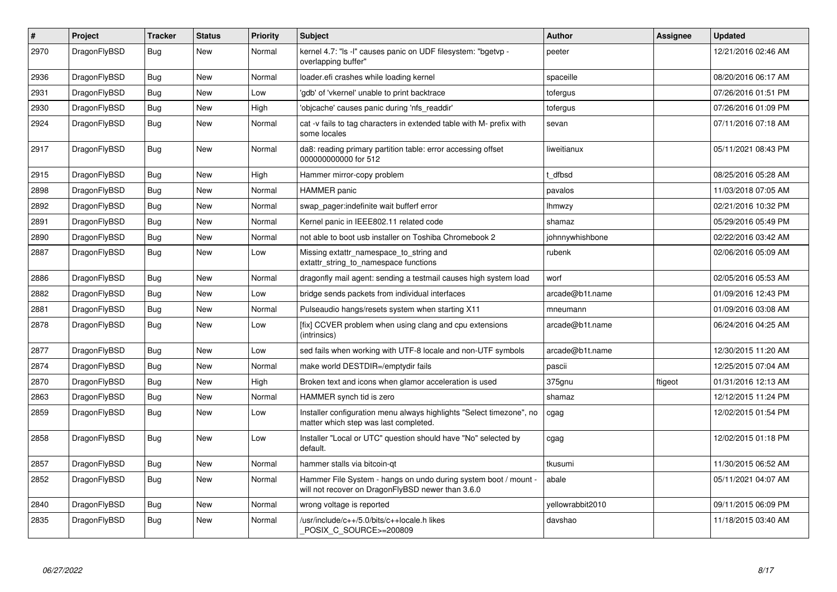| $\vert$ # | Project      | <b>Tracker</b> | <b>Status</b> | <b>Priority</b> | <b>Subject</b>                                                                                                       | <b>Author</b>    | Assignee | Updated             |
|-----------|--------------|----------------|---------------|-----------------|----------------------------------------------------------------------------------------------------------------------|------------------|----------|---------------------|
| 2970      | DragonFlyBSD | <b>Bug</b>     | <b>New</b>    | Normal          | kernel 4.7: "Is -I" causes panic on UDF filesystem: "bgetvp -<br>overlapping buffer"                                 | peeter           |          | 12/21/2016 02:46 AM |
| 2936      | DragonFlyBSD | <b>Bug</b>     | New           | Normal          | loader.efi crashes while loading kernel                                                                              | spaceille        |          | 08/20/2016 06:17 AM |
| 2931      | DragonFlyBSD | <b>Bug</b>     | New           | Low             | 'gdb' of 'vkernel' unable to print backtrace                                                                         | tofergus         |          | 07/26/2016 01:51 PM |
| 2930      | DragonFlyBSD | <b>Bug</b>     | <b>New</b>    | High            | 'objcache' causes panic during 'nfs_readdir'                                                                         | tofergus         |          | 07/26/2016 01:09 PM |
| 2924      | DragonFlyBSD | <b>Bug</b>     | <b>New</b>    | Normal          | cat -v fails to tag characters in extended table with M- prefix with<br>some locales                                 | sevan            |          | 07/11/2016 07:18 AM |
| 2917      | DragonFlyBSD | <b>Bug</b>     | <b>New</b>    | Normal          | da8: reading primary partition table: error accessing offset<br>000000000000 for 512                                 | liweitianux      |          | 05/11/2021 08:43 PM |
| 2915      | DragonFlyBSD | <b>Bug</b>     | <b>New</b>    | High            | Hammer mirror-copy problem                                                                                           | t dfbsd          |          | 08/25/2016 05:28 AM |
| 2898      | DragonFlyBSD | <b>Bug</b>     | <b>New</b>    | Normal          | <b>HAMMER</b> panic                                                                                                  | pavalos          |          | 11/03/2018 07:05 AM |
| 2892      | DragonFlyBSD | <b>Bug</b>     | <b>New</b>    | Normal          | swap_pager:indefinite wait bufferf error                                                                             | <b>Ihmwzy</b>    |          | 02/21/2016 10:32 PM |
| 2891      | DragonFlyBSD | <b>Bug</b>     | New           | Normal          | Kernel panic in IEEE802.11 related code                                                                              | shamaz           |          | 05/29/2016 05:49 PM |
| 2890      | DragonFlyBSD | <b>Bug</b>     | <b>New</b>    | Normal          | not able to boot usb installer on Toshiba Chromebook 2                                                               | johnnywhishbone  |          | 02/22/2016 03:42 AM |
| 2887      | DragonFlyBSD | <b>Bug</b>     | New           | Low             | Missing extattr_namespace_to_string and<br>extattr string to namespace functions                                     | rubenk           |          | 02/06/2016 05:09 AM |
| 2886      | DragonFlyBSD | <b>Bug</b>     | <b>New</b>    | Normal          | dragonfly mail agent: sending a testmail causes high system load                                                     | worf             |          | 02/05/2016 05:53 AM |
| 2882      | DragonFlyBSD | <b>Bug</b>     | New           | Low             | bridge sends packets from individual interfaces                                                                      | arcade@b1t.name  |          | 01/09/2016 12:43 PM |
| 2881      | DragonFlyBSD | <b>Bug</b>     | New           | Normal          | Pulseaudio hangs/resets system when starting X11                                                                     | mneumann         |          | 01/09/2016 03:08 AM |
| 2878      | DragonFlyBSD | <b>Bug</b>     | New           | Low             | [fix] CCVER problem when using clang and cpu extensions<br>(intrinsics)                                              | arcade@b1t.name  |          | 06/24/2016 04:25 AM |
| 2877      | DragonFlyBSD | <b>Bug</b>     | New           | Low             | sed fails when working with UTF-8 locale and non-UTF symbols                                                         | arcade@b1t.name  |          | 12/30/2015 11:20 AM |
| 2874      | DragonFlyBSD | <b>Bug</b>     | <b>New</b>    | Normal          | make world DESTDIR=/emptydir fails                                                                                   | pascii           |          | 12/25/2015 07:04 AM |
| 2870      | DragonFlyBSD | <b>Bug</b>     | <b>New</b>    | High            | Broken text and icons when glamor acceleration is used                                                               | 375gnu           | ftigeot  | 01/31/2016 12:13 AM |
| 2863      | DragonFlyBSD | <b>Bug</b>     | <b>New</b>    | Normal          | HAMMER synch tid is zero                                                                                             | shamaz           |          | 12/12/2015 11:24 PM |
| 2859      | DragonFlyBSD | <b>Bug</b>     | New           | Low             | Installer configuration menu always highlights "Select timezone", no<br>matter which step was last completed.        | cgag             |          | 12/02/2015 01:54 PM |
| 2858      | DragonFlyBSD | <b>Bug</b>     | New           | Low             | Installer "Local or UTC" question should have "No" selected by<br>default.                                           | cgag             |          | 12/02/2015 01:18 PM |
| 2857      | DragonFlyBSD | <b>Bug</b>     | <b>New</b>    | Normal          | hammer stalls via bitcoin-gt                                                                                         | tkusumi          |          | 11/30/2015 06:52 AM |
| 2852      | DragonFlyBSD | <b>Bug</b>     | New           | Normal          | Hammer File System - hangs on undo during system boot / mount -<br>will not recover on DragonFlyBSD newer than 3.6.0 | abale            |          | 05/11/2021 04:07 AM |
| 2840      | DragonFlyBSD | <b>Bug</b>     | <b>New</b>    | Normal          | wrong voltage is reported                                                                                            | yellowrabbit2010 |          | 09/11/2015 06:09 PM |
| 2835      | DragonFlyBSD | <b>Bug</b>     | <b>New</b>    | Normal          | /usr/include/c++/5.0/bits/c++locale.h likes<br>POSIX_C_SOURCE>=200809                                                | davshao          |          | 11/18/2015 03:40 AM |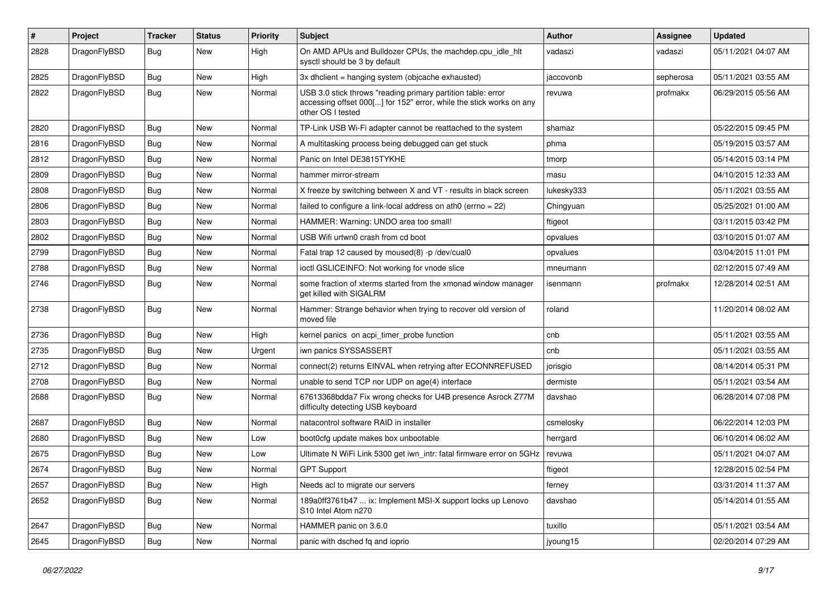| #    | Project      | <b>Tracker</b> | <b>Status</b> | <b>Priority</b> | Subject                                                                                                                                                  | <b>Author</b> | Assignee  | <b>Updated</b>      |
|------|--------------|----------------|---------------|-----------------|----------------------------------------------------------------------------------------------------------------------------------------------------------|---------------|-----------|---------------------|
| 2828 | DragonFlyBSD | Bug            | New           | High            | On AMD APUs and Bulldozer CPUs, the machdep.cpu_idle_hlt<br>sysctl should be 3 by default                                                                | vadaszi       | vadaszi   | 05/11/2021 04:07 AM |
| 2825 | DragonFlyBSD | <b>Bug</b>     | <b>New</b>    | High            | 3x dhclient = hanging system (objcache exhausted)                                                                                                        | jaccovonb     | sepherosa | 05/11/2021 03:55 AM |
| 2822 | DragonFlyBSD | Bug            | <b>New</b>    | Normal          | USB 3.0 stick throws "reading primary partition table: error<br>accessing offset 000[] for 152" error, while the stick works on any<br>other OS I tested | revuwa        | profmakx  | 06/29/2015 05:56 AM |
| 2820 | DragonFlyBSD | Bug            | <b>New</b>    | Normal          | TP-Link USB Wi-Fi adapter cannot be reattached to the system                                                                                             | shamaz        |           | 05/22/2015 09:45 PM |
| 2816 | DragonFlyBSD | Bug            | <b>New</b>    | Normal          | A multitasking process being debugged can get stuck                                                                                                      | phma          |           | 05/19/2015 03:57 AM |
| 2812 | DragonFlyBSD | <b>Bug</b>     | <b>New</b>    | Normal          | Panic on Intel DE3815TYKHE                                                                                                                               | tmorp         |           | 05/14/2015 03:14 PM |
| 2809 | DragonFlyBSD | Bug            | <b>New</b>    | Normal          | hammer mirror-stream                                                                                                                                     | masu          |           | 04/10/2015 12:33 AM |
| 2808 | DragonFlyBSD | <b>Bug</b>     | <b>New</b>    | Normal          | X freeze by switching between X and VT - results in black screen                                                                                         | lukesky333    |           | 05/11/2021 03:55 AM |
| 2806 | DragonFlyBSD | <b>Bug</b>     | New           | Normal          | failed to configure a link-local address on ath0 (errno = 22)                                                                                            | Chingyuan     |           | 05/25/2021 01:00 AM |
| 2803 | DragonFlyBSD | <b>Bug</b>     | <b>New</b>    | Normal          | HAMMER: Warning: UNDO area too small!                                                                                                                    | ftigeot       |           | 03/11/2015 03:42 PM |
| 2802 | DragonFlyBSD | <b>Bug</b>     | <b>New</b>    | Normal          | USB Wifi urtwn0 crash from cd boot                                                                                                                       | opvalues      |           | 03/10/2015 01:07 AM |
| 2799 | DragonFlyBSD | <b>Bug</b>     | <b>New</b>    | Normal          | Fatal trap 12 caused by moused(8) -p /dev/cual0                                                                                                          | opvalues      |           | 03/04/2015 11:01 PM |
| 2788 | DragonFlyBSD | Bug            | New           | Normal          | ioctl GSLICEINFO: Not working for vnode slice                                                                                                            | mneumann      |           | 02/12/2015 07:49 AM |
| 2746 | DragonFlyBSD | Bug            | New           | Normal          | some fraction of xterms started from the xmonad window manager<br>get killed with SIGALRM                                                                | isenmann      | profmakx  | 12/28/2014 02:51 AM |
| 2738 | DragonFlyBSD | Bug            | <b>New</b>    | Normal          | Hammer: Strange behavior when trying to recover old version of<br>moved file                                                                             | roland        |           | 11/20/2014 08:02 AM |
| 2736 | DragonFlyBSD | Bug            | <b>New</b>    | High            | kernel panics on acpi_timer_probe function                                                                                                               | cnb           |           | 05/11/2021 03:55 AM |
| 2735 | DragonFlyBSD | <b>Bug</b>     | <b>New</b>    | Urgent          | iwn panics SYSSASSERT                                                                                                                                    | cnb           |           | 05/11/2021 03:55 AM |
| 2712 | DragonFlyBSD | <b>Bug</b>     | <b>New</b>    | Normal          | connect(2) returns EINVAL when retrying after ECONNREFUSED                                                                                               | jorisgio      |           | 08/14/2014 05:31 PM |
| 2708 | DragonFlyBSD | Bug            | New           | Normal          | unable to send TCP nor UDP on age(4) interface                                                                                                           | dermiste      |           | 05/11/2021 03:54 AM |
| 2688 | DragonFlyBSD | Bug            | <b>New</b>    | Normal          | 67613368bdda7 Fix wrong checks for U4B presence Asrock Z77M<br>difficulty detecting USB keyboard                                                         | davshao       |           | 06/28/2014 07:08 PM |
| 2687 | DragonFlyBSD | Bug            | <b>New</b>    | Normal          | natacontrol software RAID in installer                                                                                                                   | csmelosky     |           | 06/22/2014 12:03 PM |
| 2680 | DragonFlyBSD | <b>Bug</b>     | New           | Low             | boot0cfg update makes box unbootable                                                                                                                     | herrgard      |           | 06/10/2014 06:02 AM |
| 2675 | DragonFlyBSD | <b>Bug</b>     | <b>New</b>    | Low             | Ultimate N WiFi Link 5300 get iwn_intr: fatal firmware error on 5GHz                                                                                     | revuwa        |           | 05/11/2021 04:07 AM |
| 2674 | DragonFlyBSD | Bug            | <b>New</b>    | Normal          | <b>GPT Support</b>                                                                                                                                       | ftigeot       |           | 12/28/2015 02:54 PM |
| 2657 | DragonFlyBSD | <b>Bug</b>     | New           | High            | Needs acl to migrate our servers                                                                                                                         | ferney        |           | 03/31/2014 11:37 AM |
| 2652 | DragonFlyBSD | <b>Bug</b>     | New           | Normal          | 189a0ff3761b47  ix: Implement MSI-X support locks up Lenovo<br>S10 Intel Atom n270                                                                       | davshao       |           | 05/14/2014 01:55 AM |
| 2647 | DragonFlyBSD | <b>Bug</b>     | New           | Normal          | HAMMER panic on 3.6.0                                                                                                                                    | tuxillo       |           | 05/11/2021 03:54 AM |
| 2645 | DragonFlyBSD | Bug            | New           | Normal          | panic with dsched fq and ioprio                                                                                                                          | jyoung15      |           | 02/20/2014 07:29 AM |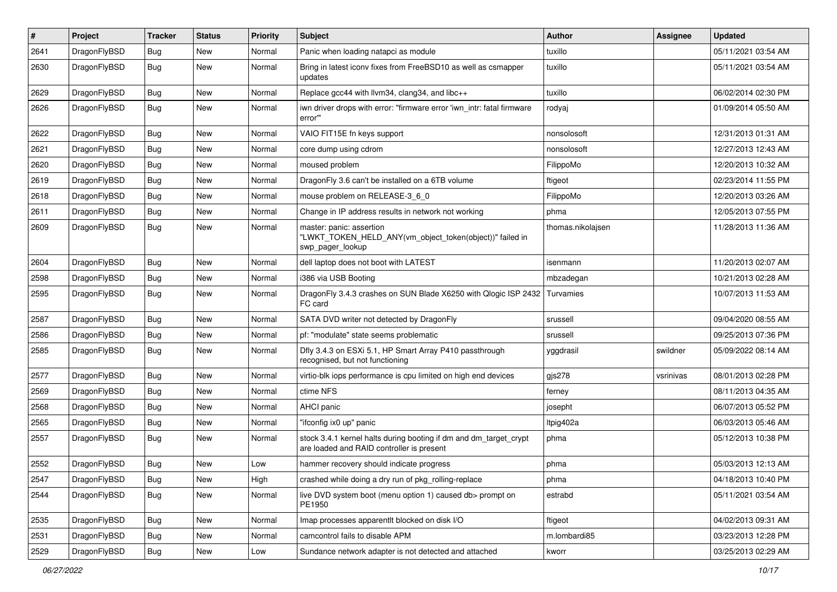| $\pmb{\#}$ | Project      | <b>Tracker</b> | <b>Status</b> | <b>Priority</b> | Subject                                                                                                        | Author            | Assignee  | <b>Updated</b>      |
|------------|--------------|----------------|---------------|-----------------|----------------------------------------------------------------------------------------------------------------|-------------------|-----------|---------------------|
| 2641       | DragonFlyBSD | Bug            | <b>New</b>    | Normal          | Panic when loading natapci as module                                                                           | tuxillo           |           | 05/11/2021 03:54 AM |
| 2630       | DragonFlyBSD | Bug            | New           | Normal          | Bring in latest iconv fixes from FreeBSD10 as well as csmapper<br>updates                                      | tuxillo           |           | 05/11/2021 03:54 AM |
| 2629       | DragonFlyBSD | Bug            | <b>New</b>    | Normal          | Replace gcc44 with llvm34, clang34, and libc++                                                                 | tuxillo           |           | 06/02/2014 02:30 PM |
| 2626       | DragonFlyBSD | Bug            | New           | Normal          | iwn driver drops with error: "firmware error 'iwn_intr: fatal firmware<br>error"                               | rodyaj            |           | 01/09/2014 05:50 AM |
| 2622       | DragonFlyBSD | Bug            | <b>New</b>    | Normal          | VAIO FIT15E fn keys support                                                                                    | nonsolosoft       |           | 12/31/2013 01:31 AM |
| 2621       | DragonFlyBSD | Bug            | <b>New</b>    | Normal          | core dump using cdrom                                                                                          | nonsolosoft       |           | 12/27/2013 12:43 AM |
| 2620       | DragonFlyBSD | Bug            | <b>New</b>    | Normal          | moused problem                                                                                                 | FilippoMo         |           | 12/20/2013 10:32 AM |
| 2619       | DragonFlyBSD | Bug            | <b>New</b>    | Normal          | DragonFly 3.6 can't be installed on a 6TB volume                                                               | ftigeot           |           | 02/23/2014 11:55 PM |
| 2618       | DragonFlyBSD | Bug            | <b>New</b>    | Normal          | mouse problem on RELEASE-3 6 0                                                                                 | FilippoMo         |           | 12/20/2013 03:26 AM |
| 2611       | DragonFlyBSD | Bug            | <b>New</b>    | Normal          | Change in IP address results in network not working                                                            | phma              |           | 12/05/2013 07:55 PM |
| 2609       | DragonFlyBSD | Bug            | New           | Normal          | master: panic: assertion<br>"LWKT_TOKEN_HELD_ANY(vm_object_token(object))" failed in<br>swp_pager_lookup       | thomas.nikolajsen |           | 11/28/2013 11:36 AM |
| 2604       | DragonFlyBSD | Bug            | <b>New</b>    | Normal          | dell laptop does not boot with LATEST                                                                          | isenmann          |           | 11/20/2013 02:07 AM |
| 2598       | DragonFlyBSD | Bug            | <b>New</b>    | Normal          | i386 via USB Booting                                                                                           | mbzadegan         |           | 10/21/2013 02:28 AM |
| 2595       | DragonFlyBSD | Bug            | <b>New</b>    | Normal          | DragonFly 3.4.3 crashes on SUN Blade X6250 with Qlogic ISP 2432<br>FC card                                     | Turvamies         |           | 10/07/2013 11:53 AM |
| 2587       | DragonFlyBSD | Bug            | <b>New</b>    | Normal          | SATA DVD writer not detected by DragonFly                                                                      | srussell          |           | 09/04/2020 08:55 AM |
| 2586       | DragonFlyBSD | Bug            | <b>New</b>    | Normal          | pf: "modulate" state seems problematic                                                                         | srussell          |           | 09/25/2013 07:36 PM |
| 2585       | DragonFlyBSD | Bug            | New           | Normal          | Dfly 3.4.3 on ESXi 5.1, HP Smart Array P410 passthrough<br>recognised, but not functioning                     | yggdrasil         | swildner  | 05/09/2022 08:14 AM |
| 2577       | DragonFlyBSD | Bug            | <b>New</b>    | Normal          | virtio-blk iops performance is cpu limited on high end devices                                                 | gjs278            | vsrinivas | 08/01/2013 02:28 PM |
| 2569       | DragonFlyBSD | Bug            | <b>New</b>    | Normal          | ctime NFS                                                                                                      | ferney            |           | 08/11/2013 04:35 AM |
| 2568       | DragonFlyBSD | Bug            | <b>New</b>    | Normal          | AHCI panic                                                                                                     | josepht           |           | 06/07/2013 05:52 PM |
| 2565       | DragonFlyBSD | Bug            | <b>New</b>    | Normal          | "ifconfig ix0 up" panic                                                                                        | ltpig402a         |           | 06/03/2013 05:46 AM |
| 2557       | DragonFlyBSD | Bug            | <b>New</b>    | Normal          | stock 3.4.1 kernel halts during booting if dm and dm_target_crypt<br>are loaded and RAID controller is present | phma              |           | 05/12/2013 10:38 PM |
| 2552       | DragonFlyBSD | Bug            | <b>New</b>    | Low             | hammer recovery should indicate progress                                                                       | phma              |           | 05/03/2013 12:13 AM |
| 2547       | DragonFlyBSD | <b>Bug</b>     | New           | High            | crashed while doing a dry run of pkg_rolling-replace                                                           | phma              |           | 04/18/2013 10:40 PM |
| 2544       | DragonFlyBSD | Bug            | New           | Normal          | live DVD system boot (menu option 1) caused db> prompt on<br>PE1950                                            | estrabd           |           | 05/11/2021 03:54 AM |
| 2535       | DragonFlyBSD | Bug            | New           | Normal          | Imap processes apparentlt blocked on disk I/O                                                                  | ftigeot           |           | 04/02/2013 09:31 AM |
| 2531       | DragonFlyBSD | Bug            | New           | Normal          | camcontrol fails to disable APM                                                                                | m.lombardi85      |           | 03/23/2013 12:28 PM |
| 2529       | DragonFlyBSD | Bug            | New           | Low             | Sundance network adapter is not detected and attached                                                          | kworr             |           | 03/25/2013 02:29 AM |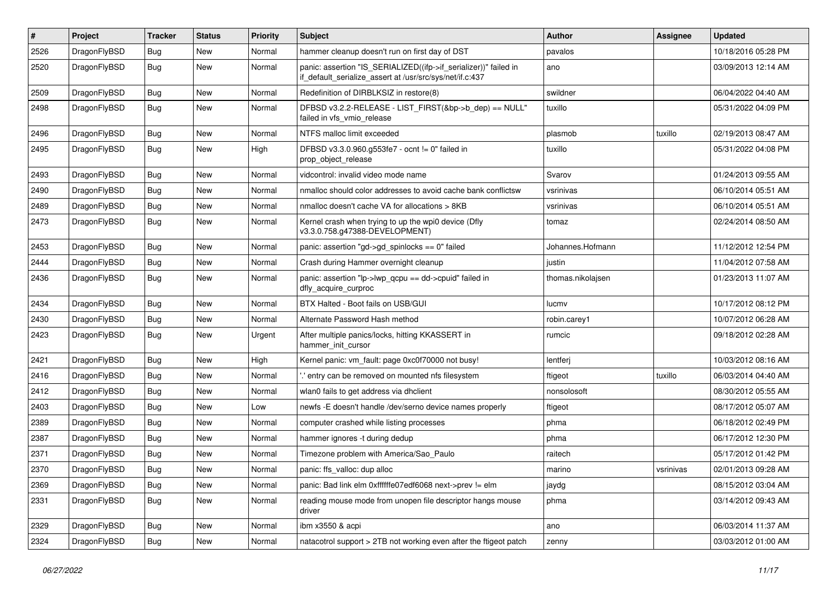| $\pmb{\#}$ | Project      | <b>Tracker</b> | <b>Status</b> | <b>Priority</b> | Subject                                                                                                                      | Author            | Assignee  | <b>Updated</b>      |
|------------|--------------|----------------|---------------|-----------------|------------------------------------------------------------------------------------------------------------------------------|-------------------|-----------|---------------------|
| 2526       | DragonFlyBSD | Bug            | <b>New</b>    | Normal          | hammer cleanup doesn't run on first day of DST                                                                               | pavalos           |           | 10/18/2016 05:28 PM |
| 2520       | DragonFlyBSD | Bug            | New           | Normal          | panic: assertion "IS_SERIALIZED((ifp->if_serializer))" failed in<br>if_default_serialize_assert at /usr/src/sys/net/if.c:437 | ano               |           | 03/09/2013 12:14 AM |
| 2509       | DragonFlyBSD | Bug            | <b>New</b>    | Normal          | Redefinition of DIRBLKSIZ in restore(8)                                                                                      | swildner          |           | 06/04/2022 04:40 AM |
| 2498       | DragonFlyBSD | Bug            | New           | Normal          | DFBSD v3.2.2-RELEASE - LIST_FIRST(&bp->b_dep) == NULL"<br>failed in vfs_vmio_release                                         | tuxillo           |           | 05/31/2022 04:09 PM |
| 2496       | DragonFlyBSD | Bug            | <b>New</b>    | Normal          | NTFS malloc limit exceeded                                                                                                   | plasmob           | tuxillo   | 02/19/2013 08:47 AM |
| 2495       | DragonFlyBSD | Bug            | New           | High            | DFBSD v3.3.0.960.g553fe7 - ocnt != 0" failed in<br>prop_object_release                                                       | tuxillo           |           | 05/31/2022 04:08 PM |
| 2493       | DragonFlyBSD | Bug            | <b>New</b>    | Normal          | vidcontrol: invalid video mode name                                                                                          | Svarov            |           | 01/24/2013 09:55 AM |
| 2490       | DragonFlyBSD | Bug            | New           | Normal          | nmalloc should color addresses to avoid cache bank conflictsw                                                                | vsrinivas         |           | 06/10/2014 05:51 AM |
| 2489       | DragonFlyBSD | Bug            | <b>New</b>    | Normal          | nmalloc doesn't cache VA for allocations > 8KB                                                                               | vsrinivas         |           | 06/10/2014 05:51 AM |
| 2473       | DragonFlyBSD | Bug            | New           | Normal          | Kernel crash when trying to up the wpi0 device (Dfly<br>v3.3.0.758.g47388-DEVELOPMENT)                                       | tomaz             |           | 02/24/2014 08:50 AM |
| 2453       | DragonFlyBSD | Bug            | <b>New</b>    | Normal          | panic: assertion "gd->gd_spinlocks == 0" failed                                                                              | Johannes.Hofmann  |           | 11/12/2012 12:54 PM |
| 2444       | DragonFlyBSD | Bug            | New           | Normal          | Crash during Hammer overnight cleanup                                                                                        | justin            |           | 11/04/2012 07:58 AM |
| 2436       | DragonFlyBSD | Bug            | New           | Normal          | panic: assertion "lp->lwp_qcpu == dd->cpuid" failed in<br>dfly_acquire_curproc                                               | thomas.nikolajsen |           | 01/23/2013 11:07 AM |
| 2434       | DragonFlyBSD | <b>Bug</b>     | <b>New</b>    | Normal          | BTX Halted - Boot fails on USB/GUI                                                                                           | lucmv             |           | 10/17/2012 08:12 PM |
| 2430       | DragonFlyBSD | Bug            | <b>New</b>    | Normal          | Alternate Password Hash method                                                                                               | robin.carey1      |           | 10/07/2012 06:28 AM |
| 2423       | DragonFlyBSD | Bug            | New           | Urgent          | After multiple panics/locks, hitting KKASSERT in<br>hammer init cursor                                                       | rumcic            |           | 09/18/2012 02:28 AM |
| 2421       | DragonFlyBSD | Bug            | <b>New</b>    | High            | Kernel panic: vm_fault: page 0xc0f70000 not busy!                                                                            | lentferj          |           | 10/03/2012 08:16 AM |
| 2416       | DragonFlyBSD | Bug            | New           | Normal          | ".' entry can be removed on mounted nfs filesystem                                                                           | ftigeot           | tuxillo   | 06/03/2014 04:40 AM |
| 2412       | DragonFlyBSD | Bug            | <b>New</b>    | Normal          | wlan0 fails to get address via dhclient                                                                                      | nonsolosoft       |           | 08/30/2012 05:55 AM |
| 2403       | DragonFlyBSD | Bug            | <b>New</b>    | Low             | newfs -E doesn't handle /dev/serno device names properly                                                                     | ftigeot           |           | 08/17/2012 05:07 AM |
| 2389       | DragonFlyBSD | <b>Bug</b>     | <b>New</b>    | Normal          | computer crashed while listing processes                                                                                     | phma              |           | 06/18/2012 02:49 PM |
| 2387       | DragonFlyBSD | Bug            | <b>New</b>    | Normal          | hammer ignores -t during dedup                                                                                               | phma              |           | 06/17/2012 12:30 PM |
| 2371       | DragonFlyBSD | <b>Bug</b>     | New           | Normal          | Timezone problem with America/Sao_Paulo                                                                                      | raitech           |           | 05/17/2012 01:42 PM |
| 2370       | DragonFlyBSD | Bug            | New           | Normal          | panic: ffs valloc: dup alloc                                                                                                 | marino            | vsrinivas | 02/01/2013 09:28 AM |
| 2369       | DragonFlyBSD | <b>Bug</b>     | New           | Normal          | panic: Bad link elm 0xffffffe07edf6068 next->prev != elm                                                                     | jaydg             |           | 08/15/2012 03:04 AM |
| 2331       | DragonFlyBSD | Bug            | New           | Normal          | reading mouse mode from unopen file descriptor hangs mouse<br>driver                                                         | phma              |           | 03/14/2012 09:43 AM |
| 2329       | DragonFlyBSD | Bug            | New           | Normal          | ibm x3550 & acpi                                                                                                             | ano               |           | 06/03/2014 11:37 AM |
| 2324       | DragonFlyBSD | <b>Bug</b>     | New           | Normal          | natacotrol support > 2TB not working even after the ftigeot patch                                                            | zenny             |           | 03/03/2012 01:00 AM |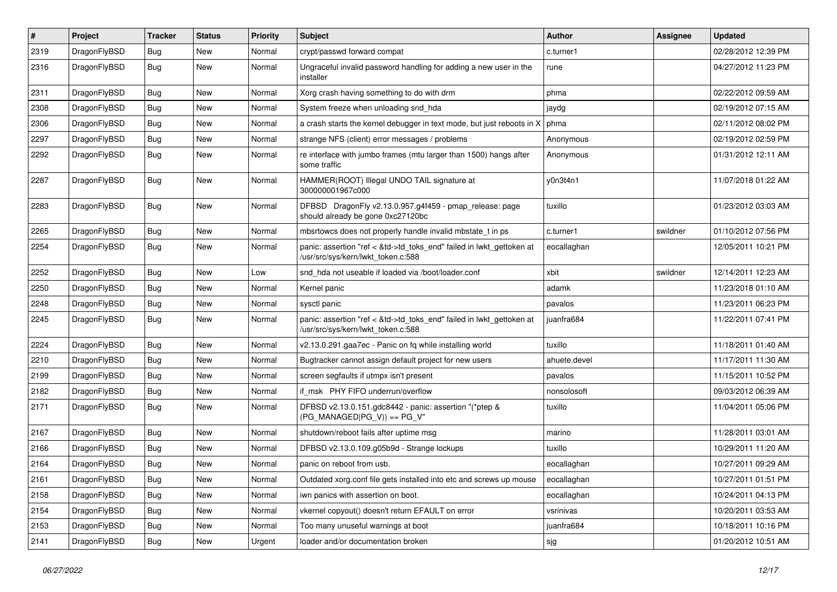| #    | Project      | <b>Tracker</b> | <b>Status</b> | <b>Priority</b> | Subject                                                                                                    | Author       | <b>Assignee</b> | <b>Updated</b>      |
|------|--------------|----------------|---------------|-----------------|------------------------------------------------------------------------------------------------------------|--------------|-----------------|---------------------|
| 2319 | DragonFlyBSD | Bug            | <b>New</b>    | Normal          | crypt/passwd forward compat                                                                                | c.turner1    |                 | 02/28/2012 12:39 PM |
| 2316 | DragonFlyBSD | <b>Bug</b>     | New           | Normal          | Ungraceful invalid password handling for adding a new user in the<br>installer                             | rune         |                 | 04/27/2012 11:23 PM |
| 2311 | DragonFlyBSD | Bug            | <b>New</b>    | Normal          | Xorg crash having something to do with drm                                                                 | phma         |                 | 02/22/2012 09:59 AM |
| 2308 | DragonFlyBSD | <b>Bug</b>     | <b>New</b>    | Normal          | System freeze when unloading snd_hda                                                                       | jaydg        |                 | 02/19/2012 07:15 AM |
| 2306 | DragonFlyBSD | <b>Bug</b>     | New           | Normal          | a crash starts the kernel debugger in text mode, but just reboots in X                                     | phma         |                 | 02/11/2012 08:02 PM |
| 2297 | DragonFlyBSD | Bug            | <b>New</b>    | Normal          | strange NFS (client) error messages / problems                                                             | Anonymous    |                 | 02/19/2012 02:59 PM |
| 2292 | DragonFlyBSD | Bug            | New           | Normal          | re interface with jumbo frames (mtu larger than 1500) hangs after<br>some traffic                          | Anonymous    |                 | 01/31/2012 12:11 AM |
| 2287 | DragonFlyBSD | <b>Bug</b>     | New           | Normal          | HAMMER(ROOT) Illegal UNDO TAIL signature at<br>300000001967c000                                            | y0n3t4n1     |                 | 11/07/2018 01:22 AM |
| 2283 | DragonFlyBSD | Bug            | New           | Normal          | DFBSD DragonFly v2.13.0.957.g4f459 - pmap_release: page<br>should already be gone 0xc27120bc               | tuxillo      |                 | 01/23/2012 03:03 AM |
| 2265 | DragonFlyBSD | <b>Bug</b>     | New           | Normal          | mbsrtowcs does not properly handle invalid mbstate_t in ps                                                 | c.turner1    | swildner        | 01/10/2012 07:56 PM |
| 2254 | DragonFlyBSD | Bug            | <b>New</b>    | Normal          | panic: assertion "ref < &td->td_toks_end" failed in lwkt_gettoken at<br>/usr/src/sys/kern/lwkt_token.c:588 | eocallaghan  |                 | 12/05/2011 10:21 PM |
| 2252 | DragonFlyBSD | Bug            | <b>New</b>    | Low             | snd hda not useable if loaded via /boot/loader.conf                                                        | xbit         | swildner        | 12/14/2011 12:23 AM |
| 2250 | DragonFlyBSD | Bug            | <b>New</b>    | Normal          | Kernel panic                                                                                               | adamk        |                 | 11/23/2018 01:10 AM |
| 2248 | DragonFlyBSD | <b>Bug</b>     | New           | Normal          | sysctl panic                                                                                               | pavalos      |                 | 11/23/2011 06:23 PM |
| 2245 | DragonFlyBSD | Bug            | New           | Normal          | panic: assertion "ref < &td->td_toks_end" failed in lwkt_gettoken at<br>/usr/src/sys/kern/lwkt_token.c:588 | juanfra684   |                 | 11/22/2011 07:41 PM |
| 2224 | DragonFlyBSD | Bug            | New           | Normal          | v2.13.0.291.gaa7ec - Panic on fq while installing world                                                    | tuxillo      |                 | 11/18/2011 01:40 AM |
| 2210 | DragonFlyBSD | Bug            | <b>New</b>    | Normal          | Bugtracker cannot assign default project for new users                                                     | ahuete.devel |                 | 11/17/2011 11:30 AM |
| 2199 | DragonFlyBSD | <b>Bug</b>     | New           | Normal          | screen segfaults if utmpx isn't present                                                                    | pavalos      |                 | 11/15/2011 10:52 PM |
| 2182 | DragonFlyBSD | Bug            | <b>New</b>    | Normal          | if msk PHY FIFO underrun/overflow                                                                          | nonsolosoft  |                 | 09/03/2012 06:39 AM |
| 2171 | DragonFlyBSD | Bug            | New           | Normal          | DFBSD v2.13.0.151.gdc8442 - panic: assertion "(*ptep &<br>$(PG$ MANAGED PG V)) == PG V"                    | tuxillo      |                 | 11/04/2011 05:06 PM |
| 2167 | DragonFlyBSD | Bug            | <b>New</b>    | Normal          | shutdown/reboot fails after uptime msg                                                                     | marino       |                 | 11/28/2011 03:01 AM |
| 2166 | DragonFlyBSD | Bug            | <b>New</b>    | Normal          | DFBSD v2.13.0.109.g05b9d - Strange lockups                                                                 | tuxillo      |                 | 10/29/2011 11:20 AM |
| 2164 | DragonFlyBSD | <b>Bug</b>     | New           | Normal          | panic on reboot from usb.                                                                                  | eocallaghan  |                 | 10/27/2011 09:29 AM |
| 2161 | DragonFlyBSD | Bug            | <b>New</b>    | Normal          | Outdated xorg.conf file gets installed into etc and screws up mouse                                        | eocallaghan  |                 | 10/27/2011 01:51 PM |
| 2158 | DragonFlyBSD | Bug            | New           | Normal          | iwn panics with assertion on boot.                                                                         | eocallaghan  |                 | 10/24/2011 04:13 PM |
| 2154 | DragonFlyBSD | <b>Bug</b>     | New           | Normal          | vkernel copyout() doesn't return EFAULT on error                                                           | vsrinivas    |                 | 10/20/2011 03:53 AM |
| 2153 | DragonFlyBSD | Bug            | New           | Normal          | Too many unuseful warnings at boot                                                                         | juanfra684   |                 | 10/18/2011 10:16 PM |
| 2141 | DragonFlyBSD | Bug            | New           | Urgent          | loader and/or documentation broken                                                                         | sjg          |                 | 01/20/2012 10:51 AM |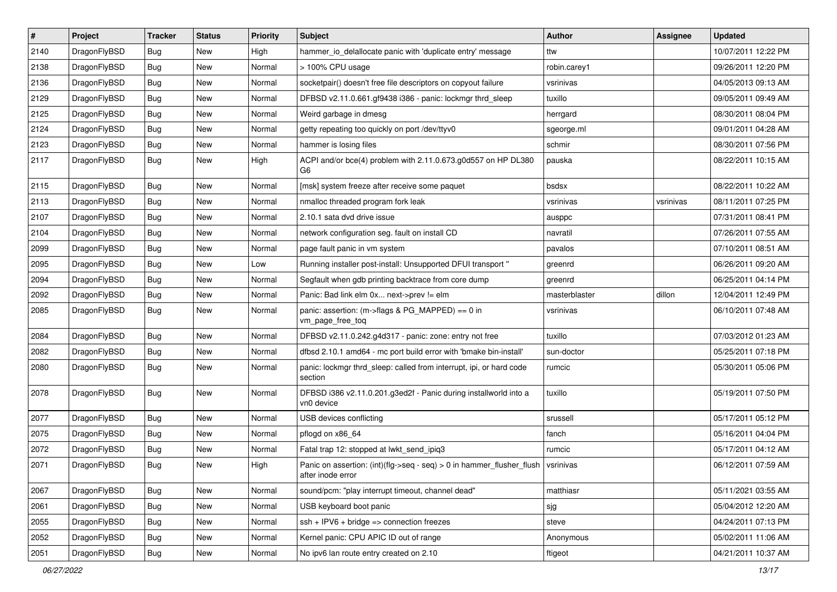| $\sharp$ | Project      | <b>Tracker</b> | <b>Status</b> | <b>Priority</b> | Subject                                                                                    | Author        | <b>Assignee</b> | <b>Updated</b>      |
|----------|--------------|----------------|---------------|-----------------|--------------------------------------------------------------------------------------------|---------------|-----------------|---------------------|
| 2140     | DragonFlyBSD | Bug            | New           | High            | hammer_io_delallocate panic with 'duplicate entry' message                                 | ttw           |                 | 10/07/2011 12:22 PM |
| 2138     | DragonFlyBSD | Bug            | <b>New</b>    | Normal          | > 100% CPU usage                                                                           | robin.carey1  |                 | 09/26/2011 12:20 PM |
| 2136     | DragonFlyBSD | Bug            | <b>New</b>    | Normal          | socketpair() doesn't free file descriptors on copyout failure                              | vsrinivas     |                 | 04/05/2013 09:13 AM |
| 2129     | DragonFlyBSD | Bug            | New           | Normal          | DFBSD v2.11.0.661.gf9438 i386 - panic: lockmgr thrd_sleep                                  | tuxillo       |                 | 09/05/2011 09:49 AM |
| 2125     | DragonFlyBSD | Bug            | <b>New</b>    | Normal          | Weird garbage in dmesg                                                                     | herrgard      |                 | 08/30/2011 08:04 PM |
| 2124     | DragonFlyBSD | Bug            | New           | Normal          | getty repeating too quickly on port /dev/ttyv0                                             | sgeorge.ml    |                 | 09/01/2011 04:28 AM |
| 2123     | DragonFlyBSD | <b>Bug</b>     | New           | Normal          | hammer is losing files                                                                     | schmir        |                 | 08/30/2011 07:56 PM |
| 2117     | DragonFlyBSD | <b>Bug</b>     | <b>New</b>    | High            | ACPI and/or bce(4) problem with 2.11.0.673.g0d557 on HP DL380<br>G6                        | pauska        |                 | 08/22/2011 10:15 AM |
| 2115     | DragonFlyBSD | Bug            | <b>New</b>    | Normal          | [msk] system freeze after receive some paquet                                              | bsdsx         |                 | 08/22/2011 10:22 AM |
| 2113     | DragonFlyBSD | Bug            | <b>New</b>    | Normal          | nmalloc threaded program fork leak                                                         | vsrinivas     | vsrinivas       | 08/11/2011 07:25 PM |
| 2107     | DragonFlyBSD | <b>Bug</b>     | New           | Normal          | 2.10.1 sata dvd drive issue                                                                | ausppc        |                 | 07/31/2011 08:41 PM |
| 2104     | DragonFlyBSD | Bug            | <b>New</b>    | Normal          | network configuration seg. fault on install CD                                             | navratil      |                 | 07/26/2011 07:55 AM |
| 2099     | DragonFlyBSD | <b>Bug</b>     | <b>New</b>    | Normal          | page fault panic in vm system                                                              | pavalos       |                 | 07/10/2011 08:51 AM |
| 2095     | DragonFlyBSD | <b>Bug</b>     | New           | Low             | Running installer post-install: Unsupported DFUI transport "                               | greenrd       |                 | 06/26/2011 09:20 AM |
| 2094     | DragonFlyBSD | <b>Bug</b>     | <b>New</b>    | Normal          | Segfault when gdb printing backtrace from core dump                                        | greenrd       |                 | 06/25/2011 04:14 PM |
| 2092     | DragonFlyBSD | <b>Bug</b>     | New           | Normal          | Panic: Bad link elm 0x next->prev != elm                                                   | masterblaster | dillon          | 12/04/2011 12:49 PM |
| 2085     | DragonFlyBSD | Bug            | New           | Normal          | panic: assertion: (m->flags & PG_MAPPED) == 0 in<br>vm_page_free_toq                       | vsrinivas     |                 | 06/10/2011 07:48 AM |
| 2084     | DragonFlyBSD | Bug            | <b>New</b>    | Normal          | DFBSD v2.11.0.242.g4d317 - panic: zone: entry not free                                     | tuxillo       |                 | 07/03/2012 01:23 AM |
| 2082     | DragonFlyBSD | <b>Bug</b>     | <b>New</b>    | Normal          | dfbsd 2.10.1 amd64 - mc port build error with 'bmake bin-install'                          | sun-doctor    |                 | 05/25/2011 07:18 PM |
| 2080     | DragonFlyBSD | <b>Bug</b>     | <b>New</b>    | Normal          | panic: lockmgr thrd_sleep: called from interrupt, ipi, or hard code<br>section             | rumcic        |                 | 05/30/2011 05:06 PM |
| 2078     | DragonFlyBSD | Bug            | <b>New</b>    | Normal          | DFBSD i386 v2.11.0.201.g3ed2f - Panic during installworld into a<br>vn0 device             | tuxillo       |                 | 05/19/2011 07:50 PM |
| 2077     | DragonFlyBSD | Bug            | New           | Normal          | USB devices conflicting                                                                    | srussell      |                 | 05/17/2011 05:12 PM |
| 2075     | DragonFlyBSD | <b>Bug</b>     | New           | Normal          | pflogd on x86 64                                                                           | fanch         |                 | 05/16/2011 04:04 PM |
| 2072     | DragonFlyBSD | <b>Bug</b>     | <b>New</b>    | Normal          | Fatal trap 12: stopped at lwkt_send_ipiq3                                                  | rumcic        |                 | 05/17/2011 04:12 AM |
| 2071     | DragonFlyBSD | Bug            | New           | High            | Panic on assertion: (int)(flg->seq - seq) > 0 in hammer_flusher_flush<br>after inode error | vsrinivas     |                 | 06/12/2011 07:59 AM |
| 2067     | DragonFlyBSD | Bug            | New           | Normal          | sound/pcm: "play interrupt timeout, channel dead"                                          | matthiasr     |                 | 05/11/2021 03:55 AM |
| 2061     | DragonFlyBSD | <b>Bug</b>     | New           | Normal          | USB keyboard boot panic                                                                    | sjg           |                 | 05/04/2012 12:20 AM |
| 2055     | DragonFlyBSD | <b>Bug</b>     | New           | Normal          | ssh + IPV6 + bridge => connection freezes                                                  | steve         |                 | 04/24/2011 07:13 PM |
| 2052     | DragonFlyBSD | <b>Bug</b>     | <b>New</b>    | Normal          | Kernel panic: CPU APIC ID out of range                                                     | Anonymous     |                 | 05/02/2011 11:06 AM |
| 2051     | DragonFlyBSD | <b>Bug</b>     | New           | Normal          | No ipv6 lan route entry created on 2.10                                                    | ftigeot       |                 | 04/21/2011 10:37 AM |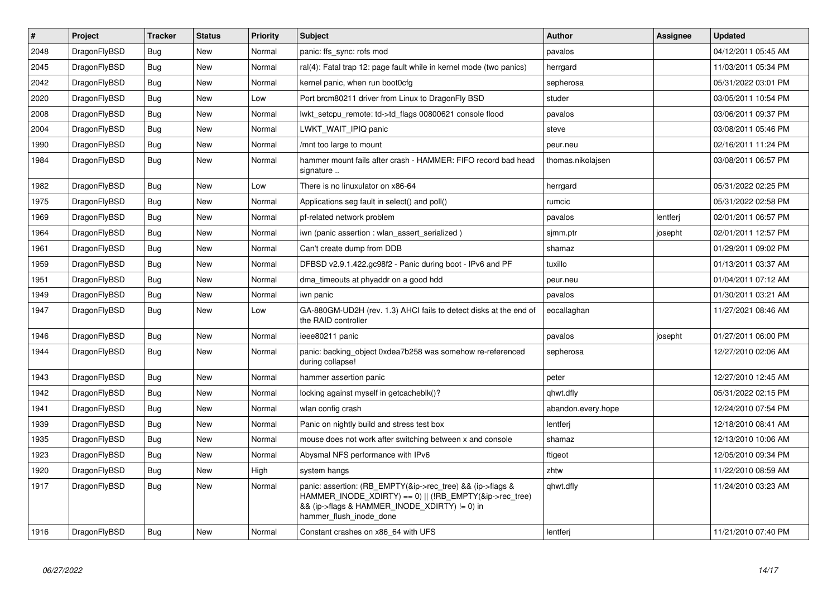| $\vert$ # | Project      | <b>Tracker</b> | <b>Status</b> | <b>Priority</b> | <b>Subject</b>                                                                                                                                                                                    | <b>Author</b>      | <b>Assignee</b> | <b>Updated</b>      |
|-----------|--------------|----------------|---------------|-----------------|---------------------------------------------------------------------------------------------------------------------------------------------------------------------------------------------------|--------------------|-----------------|---------------------|
| 2048      | DragonFlyBSD | <b>Bug</b>     | <b>New</b>    | Normal          | panic: ffs_sync: rofs mod                                                                                                                                                                         | pavalos            |                 | 04/12/2011 05:45 AM |
| 2045      | DragonFlyBSD | Bug            | <b>New</b>    | Normal          | ral(4): Fatal trap 12: page fault while in kernel mode (two panics)                                                                                                                               | herrgard           |                 | 11/03/2011 05:34 PM |
| 2042      | DragonFlyBSD | <b>Bug</b>     | <b>New</b>    | Normal          | kernel panic, when run boot0cfg                                                                                                                                                                   | sepherosa          |                 | 05/31/2022 03:01 PM |
| 2020      | DragonFlyBSD | Bug            | <b>New</b>    | Low             | Port brcm80211 driver from Linux to DragonFly BSD                                                                                                                                                 | studer             |                 | 03/05/2011 10:54 PM |
| 2008      | DragonFlyBSD | <b>Bug</b>     | <b>New</b>    | Normal          | lwkt_setcpu_remote: td->td_flags 00800621 console flood                                                                                                                                           | pavalos            |                 | 03/06/2011 09:37 PM |
| 2004      | DragonFlyBSD | <b>Bug</b>     | <b>New</b>    | Normal          | LWKT_WAIT_IPIQ panic                                                                                                                                                                              | steve              |                 | 03/08/2011 05:46 PM |
| 1990      | DragonFlyBSD | Bug            | <b>New</b>    | Normal          | /mnt too large to mount                                                                                                                                                                           | peur.neu           |                 | 02/16/2011 11:24 PM |
| 1984      | DragonFlyBSD | Bug            | <b>New</b>    | Normal          | hammer mount fails after crash - HAMMER: FIFO record bad head<br>signature                                                                                                                        | thomas.nikolajsen  |                 | 03/08/2011 06:57 PM |
| 1982      | DragonFlyBSD | Bug            | <b>New</b>    | Low             | There is no linuxulator on x86-64                                                                                                                                                                 | herrgard           |                 | 05/31/2022 02:25 PM |
| 1975      | DragonFlyBSD | <b>Bug</b>     | <b>New</b>    | Normal          | Applications seg fault in select() and poll()                                                                                                                                                     | rumcic             |                 | 05/31/2022 02:58 PM |
| 1969      | DragonFlyBSD | Bug            | <b>New</b>    | Normal          | pf-related network problem                                                                                                                                                                        | pavalos            | lentferj        | 02/01/2011 06:57 PM |
| 1964      | DragonFlyBSD | Bug            | <b>New</b>    | Normal          | iwn (panic assertion : wlan assert serialized)                                                                                                                                                    | sjmm.ptr           | josepht         | 02/01/2011 12:57 PM |
| 1961      | DragonFlyBSD | <b>Bug</b>     | <b>New</b>    | Normal          | Can't create dump from DDB                                                                                                                                                                        | shamaz             |                 | 01/29/2011 09:02 PM |
| 1959      | DragonFlyBSD | Bug            | <b>New</b>    | Normal          | DFBSD v2.9.1.422.gc98f2 - Panic during boot - IPv6 and PF                                                                                                                                         | tuxillo            |                 | 01/13/2011 03:37 AM |
| 1951      | DragonFlyBSD | <b>Bug</b>     | <b>New</b>    | Normal          | dma timeouts at phyaddr on a good hdd                                                                                                                                                             | peur.neu           |                 | 01/04/2011 07:12 AM |
| 1949      | DragonFlyBSD | Bug            | <b>New</b>    | Normal          | iwn panic                                                                                                                                                                                         | pavalos            |                 | 01/30/2011 03:21 AM |
| 1947      | DragonFlyBSD | <b>Bug</b>     | <b>New</b>    | Low             | GA-880GM-UD2H (rev. 1.3) AHCI fails to detect disks at the end of<br>the RAID controller                                                                                                          | eocallaghan        |                 | 11/27/2021 08:46 AM |
| 1946      | DragonFlyBSD | <b>Bug</b>     | <b>New</b>    | Normal          | ieee80211 panic                                                                                                                                                                                   | pavalos            | josepht         | 01/27/2011 06:00 PM |
| 1944      | DragonFlyBSD | Bug            | <b>New</b>    | Normal          | panic: backing_object 0xdea7b258 was somehow re-referenced<br>during collapse!                                                                                                                    | sepherosa          |                 | 12/27/2010 02:06 AM |
| 1943      | DragonFlyBSD | Bug            | <b>New</b>    | Normal          | hammer assertion panic                                                                                                                                                                            | peter              |                 | 12/27/2010 12:45 AM |
| 1942      | DragonFlyBSD | <b>Bug</b>     | <b>New</b>    | Normal          | locking against myself in getcacheblk()?                                                                                                                                                          | qhwt.dfly          |                 | 05/31/2022 02:15 PM |
| 1941      | DragonFlyBSD | Bug            | <b>New</b>    | Normal          | wlan config crash                                                                                                                                                                                 | abandon.every.hope |                 | 12/24/2010 07:54 PM |
| 1939      | DragonFlyBSD | <b>Bug</b>     | <b>New</b>    | Normal          | Panic on nightly build and stress test box                                                                                                                                                        | lentferj           |                 | 12/18/2010 08:41 AM |
| 1935      | DragonFlyBSD | Bug            | <b>New</b>    | Normal          | mouse does not work after switching between x and console                                                                                                                                         | shamaz             |                 | 12/13/2010 10:06 AM |
| 1923      | DragonFlyBSD | <b>Bug</b>     | <b>New</b>    | Normal          | Abysmal NFS performance with IPv6                                                                                                                                                                 | ftigeot            |                 | 12/05/2010 09:34 PM |
| 1920      | DragonFlyBSD | <b>Bug</b>     | <b>New</b>    | High            | system hangs                                                                                                                                                                                      | zhtw               |                 | 11/22/2010 08:59 AM |
| 1917      | DragonFlyBSD | <b>Bug</b>     | <b>New</b>    | Normal          | panic: assertion: (RB_EMPTY(&ip->rec_tree) && (ip->flags &<br>HAMMER_INODE_XDIRTY) == 0)    (!RB_EMPTY(&ip->rec_tree)<br>&& (ip->flags & HAMMER_INODE_XDIRTY) != 0) in<br>hammer flush inode done | qhwt.dfly          |                 | 11/24/2010 03:23 AM |
| 1916      | DragonFlyBSD | <b>Bug</b>     | <b>New</b>    | Normal          | Constant crashes on x86_64 with UFS                                                                                                                                                               | lentferj           |                 | 11/21/2010 07:40 PM |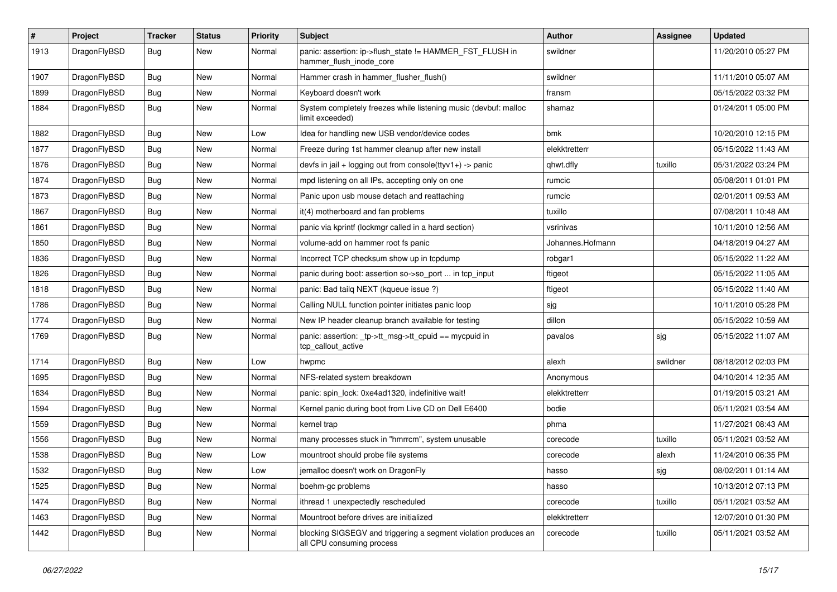| $\sharp$ | Project      | <b>Tracker</b> | <b>Status</b> | <b>Priority</b> | Subject                                                                                      | Author           | Assignee | <b>Updated</b>      |
|----------|--------------|----------------|---------------|-----------------|----------------------------------------------------------------------------------------------|------------------|----------|---------------------|
| 1913     | DragonFlyBSD | Bug            | New           | Normal          | panic: assertion: ip->flush_state != HAMMER_FST_FLUSH in<br>hammer flush inode core          | swildner         |          | 11/20/2010 05:27 PM |
| 1907     | DragonFlyBSD | <b>Bug</b>     | New           | Normal          | Hammer crash in hammer_flusher_flush()                                                       | swildner         |          | 11/11/2010 05:07 AM |
| 1899     | DragonFlyBSD | <b>Bug</b>     | <b>New</b>    | Normal          | Keyboard doesn't work                                                                        | fransm           |          | 05/15/2022 03:32 PM |
| 1884     | DragonFlyBSD | <b>Bug</b>     | New           | Normal          | System completely freezes while listening music (devbuf: malloc<br>limit exceeded)           | shamaz           |          | 01/24/2011 05:00 PM |
| 1882     | DragonFlyBSD | <b>Bug</b>     | <b>New</b>    | Low             | Idea for handling new USB vendor/device codes                                                | bmk              |          | 10/20/2010 12:15 PM |
| 1877     | DragonFlyBSD | <b>Bug</b>     | New           | Normal          | Freeze during 1st hammer cleanup after new install                                           | elekktretterr    |          | 05/15/2022 11:43 AM |
| 1876     | DragonFlyBSD | <b>Bug</b>     | New           | Normal          | devfs in jail + logging out from console(ttyv1+) -> panic                                    | qhwt.dfly        | tuxillo  | 05/31/2022 03:24 PM |
| 1874     | DragonFlyBSD | <b>Bug</b>     | <b>New</b>    | Normal          | mpd listening on all IPs, accepting only on one                                              | rumcic           |          | 05/08/2011 01:01 PM |
| 1873     | DragonFlyBSD | <b>Bug</b>     | New           | Normal          | Panic upon usb mouse detach and reattaching                                                  | rumcic           |          | 02/01/2011 09:53 AM |
| 1867     | DragonFlyBSD | <b>Bug</b>     | <b>New</b>    | Normal          | it(4) motherboard and fan problems                                                           | tuxillo          |          | 07/08/2011 10:48 AM |
| 1861     | DragonFlyBSD | Bug            | New           | Normal          | panic via kprintf (lockmgr called in a hard section)                                         | vsrinivas        |          | 10/11/2010 12:56 AM |
| 1850     | DragonFlyBSD | <b>Bug</b>     | <b>New</b>    | Normal          | volume-add on hammer root fs panic                                                           | Johannes.Hofmann |          | 04/18/2019 04:27 AM |
| 1836     | DragonFlyBSD | <b>Bug</b>     | <b>New</b>    | Normal          | Incorrect TCP checksum show up in tcpdump                                                    | robgar1          |          | 05/15/2022 11:22 AM |
| 1826     | DragonFlyBSD | <b>Bug</b>     | <b>New</b>    | Normal          | panic during boot: assertion so->so_port  in tcp_input                                       | ftigeot          |          | 05/15/2022 11:05 AM |
| 1818     | DragonFlyBSD | <b>Bug</b>     | <b>New</b>    | Normal          | panic: Bad tailg NEXT (kqueue issue ?)                                                       | ftigeot          |          | 05/15/2022 11:40 AM |
| 1786     | DragonFlyBSD | <b>Bug</b>     | New           | Normal          | Calling NULL function pointer initiates panic loop                                           | sjg              |          | 10/11/2010 05:28 PM |
| 1774     | DragonFlyBSD | <b>Bug</b>     | <b>New</b>    | Normal          | New IP header cleanup branch available for testing                                           | dillon           |          | 05/15/2022 10:59 AM |
| 1769     | DragonFlyBSD | <b>Bug</b>     | New           | Normal          | panic: assertion: _tp->tt_msg->tt_cpuid == mycpuid in<br>tcp callout active                  | pavalos          | sjg      | 05/15/2022 11:07 AM |
| 1714     | DragonFlyBSD | <b>Bug</b>     | <b>New</b>    | Low             | hwpmc                                                                                        | alexh            | swildner | 08/18/2012 02:03 PM |
| 1695     | DragonFlyBSD | <b>Bug</b>     | <b>New</b>    | Normal          | NFS-related system breakdown                                                                 | Anonymous        |          | 04/10/2014 12:35 AM |
| 1634     | DragonFlyBSD | <b>Bug</b>     | New           | Normal          | panic: spin lock: 0xe4ad1320, indefinitive wait!                                             | elekktretterr    |          | 01/19/2015 03:21 AM |
| 1594     | DragonFlyBSD | <b>Bug</b>     | <b>New</b>    | Normal          | Kernel panic during boot from Live CD on Dell E6400                                          | bodie            |          | 05/11/2021 03:54 AM |
| 1559     | DragonFlyBSD | <b>Bug</b>     | New           | Normal          | kernel trap                                                                                  | phma             |          | 11/27/2021 08:43 AM |
| 1556     | DragonFlyBSD | <b>Bug</b>     | <b>New</b>    | Normal          | many processes stuck in "hmrrcm", system unusable                                            | corecode         | tuxillo  | 05/11/2021 03:52 AM |
| 1538     | DragonFlyBSD | <b>Bug</b>     | New           | Low             | mountroot should probe file systems                                                          | corecode         | alexh    | 11/24/2010 06:35 PM |
| 1532     | DragonFlyBSD | Bug            | New           | Low             | jemalloc doesn't work on DragonFly                                                           | hasso            | sjg      | 08/02/2011 01:14 AM |
| 1525     | DragonFlyBSD | <b>Bug</b>     | <b>New</b>    | Normal          | boehm-gc problems                                                                            | hasso            |          | 10/13/2012 07:13 PM |
| 1474     | DragonFlyBSD | <b>Bug</b>     | <b>New</b>    | Normal          | ithread 1 unexpectedly rescheduled                                                           | corecode         | tuxillo  | 05/11/2021 03:52 AM |
| 1463     | DragonFlyBSD | <b>Bug</b>     | <b>New</b>    | Normal          | Mountroot before drives are initialized                                                      | elekktretterr    |          | 12/07/2010 01:30 PM |
| 1442     | DragonFlyBSD | <b>Bug</b>     | New           | Normal          | blocking SIGSEGV and triggering a segment violation produces an<br>all CPU consuming process | corecode         | tuxillo  | 05/11/2021 03:52 AM |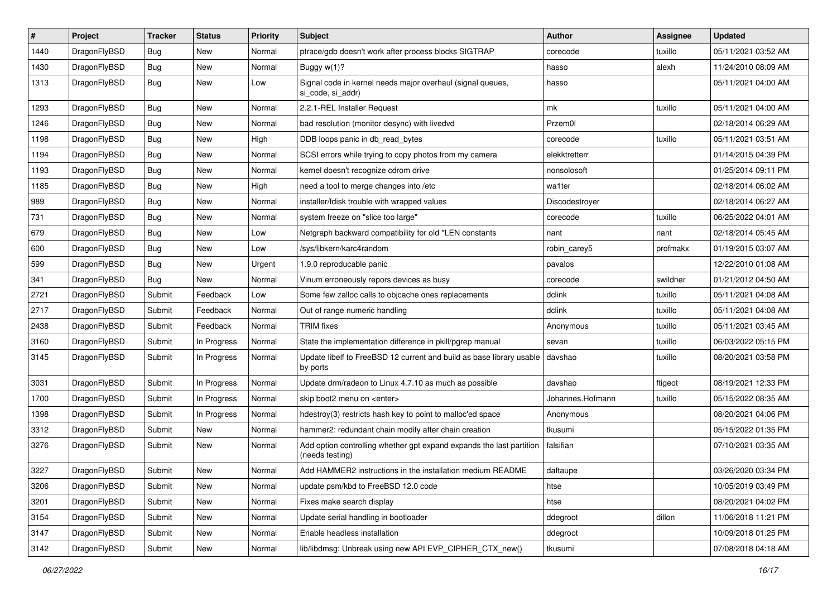| #    | Project      | <b>Tracker</b> | <b>Status</b> | <b>Priority</b> | Subject                                                                                 | Author           | <b>Assignee</b> | <b>Updated</b>      |
|------|--------------|----------------|---------------|-----------------|-----------------------------------------------------------------------------------------|------------------|-----------------|---------------------|
| 1440 | DragonFlyBSD | <b>Bug</b>     | New           | Normal          | ptrace/gdb doesn't work after process blocks SIGTRAP                                    | corecode         | tuxillo         | 05/11/2021 03:52 AM |
| 1430 | DragonFlyBSD | <b>Bug</b>     | <b>New</b>    | Normal          | Buggy w(1)?                                                                             | hasso            | alexh           | 11/24/2010 08:09 AM |
| 1313 | DragonFlyBSD | <b>Bug</b>     | New           | Low             | Signal code in kernel needs major overhaul (signal queues,<br>si code, si addr)         | hasso            |                 | 05/11/2021 04:00 AM |
| 1293 | DragonFlyBSD | <b>Bug</b>     | New           | Normal          | 2.2.1-REL Installer Request                                                             | mk               | tuxillo         | 05/11/2021 04:00 AM |
| 1246 | DragonFlyBSD | <b>Bug</b>     | New           | Normal          | bad resolution (monitor desync) with livedvd                                            | Przem0l          |                 | 02/18/2014 06:29 AM |
| 1198 | DragonFlyBSD | <b>Bug</b>     | <b>New</b>    | High            | DDB loops panic in db_read_bytes                                                        | corecode         | tuxillo         | 05/11/2021 03:51 AM |
| 1194 | DragonFlyBSD | <b>Bug</b>     | <b>New</b>    | Normal          | SCSI errors while trying to copy photos from my camera                                  | elekktretterr    |                 | 01/14/2015 04:39 PM |
| 1193 | DragonFlyBSD | <b>Bug</b>     | New           | Normal          | kernel doesn't recognize cdrom drive                                                    | nonsolosoft      |                 | 01/25/2014 09:11 PM |
| 1185 | DragonFlyBSD | <b>Bug</b>     | New           | High            | need a tool to merge changes into /etc                                                  | wa1ter           |                 | 02/18/2014 06:02 AM |
| 989  | DragonFlyBSD | <b>Bug</b>     | New           | Normal          | installer/fdisk trouble with wrapped values                                             | Discodestroyer   |                 | 02/18/2014 06:27 AM |
| 731  | DragonFlyBSD | <b>Bug</b>     | New           | Normal          | system freeze on "slice too large"                                                      | corecode         | tuxillo         | 06/25/2022 04:01 AM |
| 679  | DragonFlyBSD | <b>Bug</b>     | <b>New</b>    | Low             | Netgraph backward compatibility for old *LEN constants                                  | nant             | nant            | 02/18/2014 05:45 AM |
| 600  | DragonFlyBSD | <b>Bug</b>     | New           | Low             | /sys/libkern/karc4random                                                                | robin_carey5     | profmakx        | 01/19/2015 03:07 AM |
| 599  | DragonFlyBSD | <b>Bug</b>     | New           | Urgent          | 1.9.0 reproducable panic                                                                | pavalos          |                 | 12/22/2010 01:08 AM |
| 341  | DragonFlyBSD | <b>Bug</b>     | New           | Normal          | Vinum erroneously repors devices as busy                                                | corecode         | swildner        | 01/21/2012 04:50 AM |
| 2721 | DragonFlyBSD | Submit         | Feedback      | Low             | Some few zalloc calls to objcache ones replacements                                     | dclink           | tuxillo         | 05/11/2021 04:08 AM |
| 2717 | DragonFlyBSD | Submit         | Feedback      | Normal          | Out of range numeric handling                                                           | dclink           | tuxillo         | 05/11/2021 04:08 AM |
| 2438 | DragonFlyBSD | Submit         | Feedback      | Normal          | <b>TRIM</b> fixes                                                                       | Anonymous        | tuxillo         | 05/11/2021 03:45 AM |
| 3160 | DragonFlyBSD | Submit         | In Progress   | Normal          | State the implementation difference in pkill/pgrep manual                               | sevan            | tuxillo         | 06/03/2022 05:15 PM |
| 3145 | DragonFlyBSD | Submit         | In Progress   | Normal          | Update libelf to FreeBSD 12 current and build as base library usable<br>by ports        | davshao          | tuxillo         | 08/20/2021 03:58 PM |
| 3031 | DragonFlyBSD | Submit         | In Progress   | Normal          | Update drm/radeon to Linux 4.7.10 as much as possible                                   | davshao          | ftigeot         | 08/19/2021 12:33 PM |
| 1700 | DragonFlyBSD | Submit         | In Progress   | Normal          | skip boot2 menu on <enter></enter>                                                      | Johannes.Hofmann | tuxillo         | 05/15/2022 08:35 AM |
| 1398 | DragonFlyBSD | Submit         | In Progress   | Normal          | hdestroy(3) restricts hash key to point to malloc'ed space                              | Anonymous        |                 | 08/20/2021 04:06 PM |
| 3312 | DragonFlyBSD | Submit         | New           | Normal          | hammer2: redundant chain modify after chain creation                                    | tkusumi          |                 | 05/15/2022 01:35 PM |
| 3276 | DragonFlyBSD | Submit         | New           | Normal          | Add option controlling whether gpt expand expands the last partition<br>(needs testing) | falsifian        |                 | 07/10/2021 03:35 AM |
| 3227 | DragonFlyBSD | Submit         | New           | Normal          | Add HAMMER2 instructions in the installation medium README                              | daftaupe         |                 | 03/26/2020 03:34 PM |
| 3206 | DragonFlyBSD | Submit         | New           | Normal          | update psm/kbd to FreeBSD 12.0 code                                                     | htse             |                 | 10/05/2019 03:49 PM |
| 3201 | DragonFlyBSD | Submit         | <b>New</b>    | Normal          | Fixes make search display                                                               | htse             |                 | 08/20/2021 04:02 PM |
| 3154 | DragonFlyBSD | Submit         | <b>New</b>    | Normal          | Update serial handling in bootloader                                                    | ddegroot         | dillon          | 11/06/2018 11:21 PM |
| 3147 | DragonFlyBSD | Submit         | New           | Normal          | Enable headless installation                                                            | ddegroot         |                 | 10/09/2018 01:25 PM |
| 3142 | DragonFlyBSD | Submit         | New           | Normal          | lib/libdmsg: Unbreak using new API EVP_CIPHER_CTX_new()                                 | tkusumi          |                 | 07/08/2018 04:18 AM |